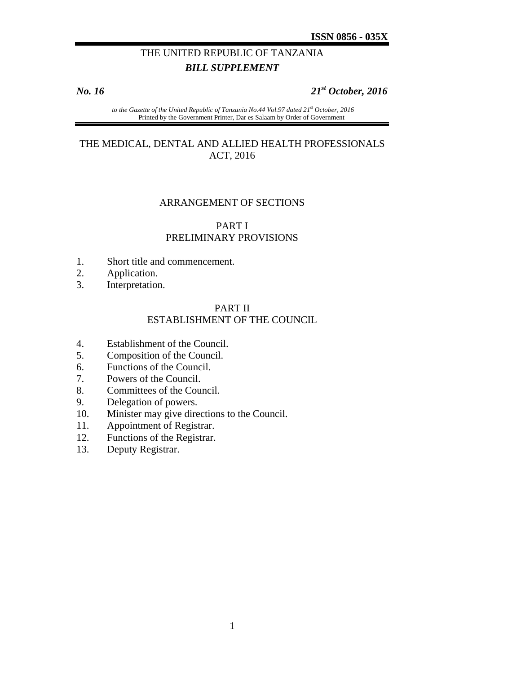# THE UNITED REPUBLIC OF TANZANIA *BILL SUPPLEMENT*

# *No. 16 21st October, 2016*

 *to the Gazette of the United Republic of Tanzania No.44 Vol.97 dated 21st October, 2016*  Printed by the Government Printer, Dar es Salaam by Order of Government

### THE MEDICAL, DENTAL AND ALLIED HEALTH PROFESSIONALS ACT, 2016

#### ARRANGEMENT OF SECTIONS

# PART I PRELIMINARY PROVISIONS

- 1. Short title and commencement.
- 2. Application.
- 3. Interpretation.

# PART II ESTABLISHMENT OF THE COUNCIL

- 4. Establishment of the Council.
- 5. Composition of the Council.
- 6. Functions of the Council.
- 7. Powers of the Council.
- 8. Committees of the Council.
- 9. Delegation of powers.
- 10. Minister may give directions to the Council.
- 11. Appointment of Registrar.
- 12. Functions of the Registrar.
- 13. Deputy Registrar.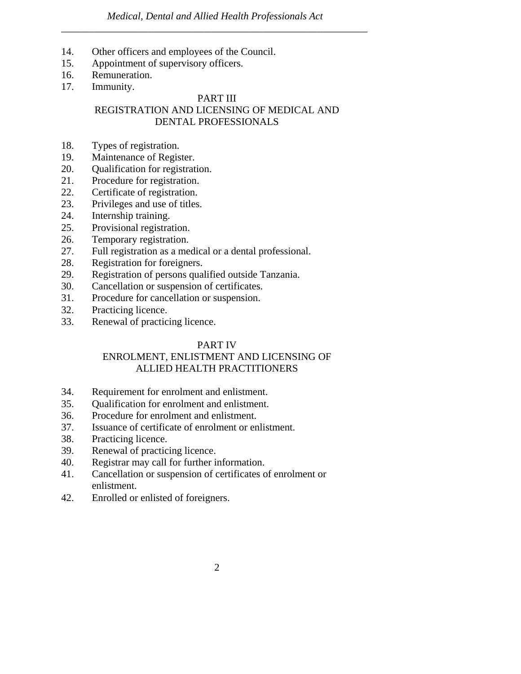- 14. Other officers and employees of the Council.
- 15. Appointment of supervisory officers.
- 16. Remuneration.
- 17. Immunity.

# PART III REGISTRATION AND LICENSING OF MEDICAL AND DENTAL PROFESSIONALS

- 18. Types of registration.
- 19. Maintenance of Register.
- 20. Qualification for registration.
- 21. Procedure for registration.
- 22. Certificate of registration.
- 23. Privileges and use of titles.
- 24. Internship training.
- 25. Provisional registration.
- 26. Temporary registration.
- 27. Full registration as a medical or a dental professional.
- 28. Registration for foreigners.
- 29. Registration of persons qualified outside Tanzania.
- 30. Cancellation or suspension of certificates.
- 31. Procedure for cancellation or suspension.
- 32. Practicing licence.
- 33. Renewal of practicing licence.

# PART IV

# ENROLMENT, ENLISTMENT AND LICENSING OF ALLIED HEALTH PRACTITIONERS

- 34. Requirement for enrolment and enlistment.
- 35. Qualification for enrolment and enlistment.
- 36. Procedure for enrolment and enlistment.
- 37. Issuance of certificate of enrolment or enlistment.
- 38. Practicing licence.
- 39. Renewal of practicing licence.
- 40. Registrar may call for further information.
- 41. Cancellation or suspension of certificates of enrolment or enlistment.
- 42. Enrolled or enlisted of foreigners.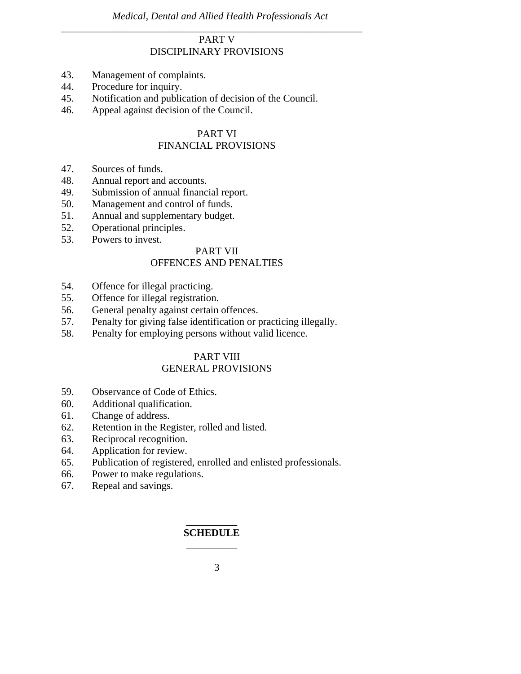# PART V DISCIPLINARY PROVISIONS

*\_\_\_\_\_\_\_\_\_\_\_\_\_\_\_\_\_\_\_\_\_\_\_\_\_\_\_\_\_\_\_\_\_\_\_\_\_\_\_\_\_\_\_\_\_\_\_\_\_\_\_\_\_\_\_\_\_\_\_* 

- 43. Management of complaints.
- 44. Procedure for inquiry.
- 45. Notification and publication of decision of the Council.
- 46. Appeal against decision of the Council.

# PART VI

# FINANCIAL PROVISIONS

- 47. Sources of funds.
- 48. Annual report and accounts.
- 49. Submission of annual financial report.
- 50. Management and control of funds.
- 51. Annual and supplementary budget.
- 52. Operational principles.
- 53. Powers to invest.

### PART VII

# OFFENCES AND PENALTIES

- 54. Offence for illegal practicing.
- 55. Offence for illegal registration.
- 56. General penalty against certain offences.
- 57. Penalty for giving false identification or practicing illegally.
- 58. Penalty for employing persons without valid licence.

# PART VIII

# GENERAL PROVISIONS

- 59. Observance of Code of Ethics.
- 60. Additional qualification.
- 61. Change of address.
- 62. Retention in the Register, rolled and listed.
- 63. Reciprocal recognition.
- 64. Application for review.
- 65. Publication of registered, enrolled and enlisted professionals.
- 66. Power to make regulations.
- 67. Repeal and savings.

# $\overline{\phantom{a}}$ **SCHEDULE**  \_\_\_\_\_\_\_\_\_\_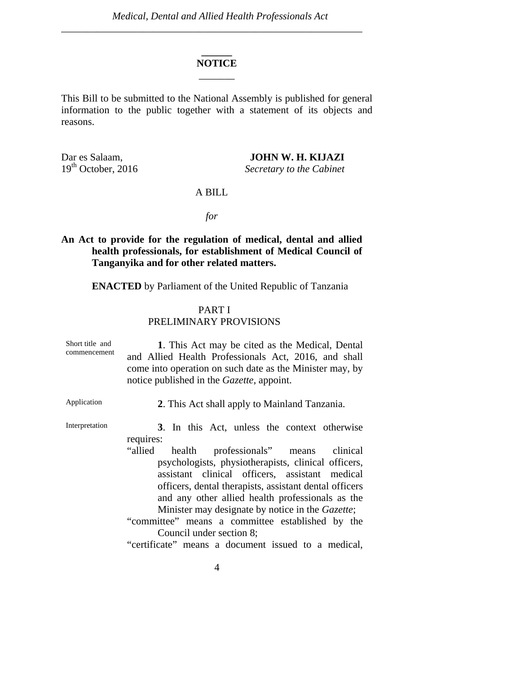# **\_\_\_\_\_\_ NOTICE**   $\overline{\phantom{a}}$

This Bill to be submitted to the National Assembly is published for general information to the public together with a statement of its objects and reasons.

Dar es Salaam, **JOHN W. H. KIJAZI**<br>19<sup>th</sup> October, 2016 *Secretary to the Cabinet* 

 $S$ *ecretary to the Cabinet* 

#### A BILL

*for* 

# **An Act to provide for the regulation of medical, dental and allied health professionals, for establishment of Medical Council of Tanganyika and for other related matters.**

**ENACTED** by Parliament of the United Republic of Tanzania

# PART I PRELIMINARY PROVISIONS

| Short title and<br>commencement | 1. This Act may be cited as the Medical, Dental<br>and Allied Health Professionals Act, 2016, and shall<br>come into operation on such date as the Minister may, by<br>notice published in the <i>Gazette</i> , appoint.                                                                                                                                                                                                                                                                                                               |
|---------------------------------|----------------------------------------------------------------------------------------------------------------------------------------------------------------------------------------------------------------------------------------------------------------------------------------------------------------------------------------------------------------------------------------------------------------------------------------------------------------------------------------------------------------------------------------|
| Application                     | 2. This Act shall apply to Mainland Tanzania.                                                                                                                                                                                                                                                                                                                                                                                                                                                                                          |
| Interpretation                  | 3. In this Act, unless the context otherwise<br>requires:<br>health professionals" means clinical<br>"allied<br>psychologists, physiotherapists, clinical officers,<br>assistant clinical officers, assistant medical<br>officers, dental therapists, assistant dental officers<br>and any other allied health professionals as the<br>Minister may designate by notice in the <i>Gazette</i> ;<br>"committee" means a committee established by the<br>Council under section 8;<br>"certificate" means a document issued to a medical, |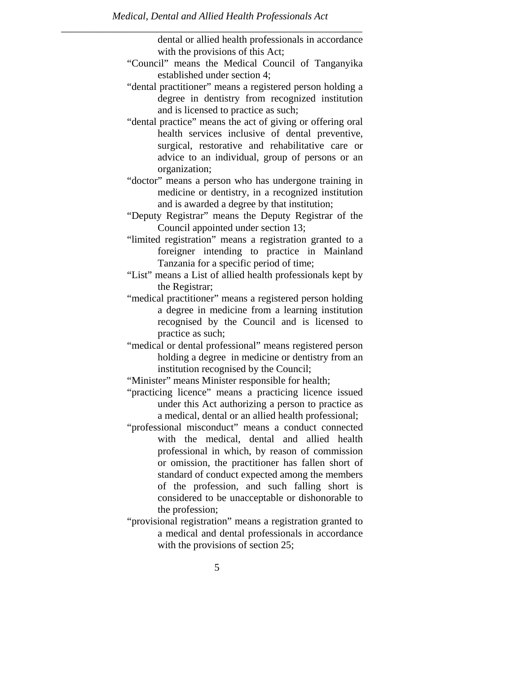dental or allied health professionals in accordance with the provisions of this Act;

- "Council" means the Medical Council of Tanganyika established under section 4;
- "dental practitioner" means a registered person holding a degree in dentistry from recognized institution and is licensed to practice as such;
- "dental practice" means the act of giving or offering oral health services inclusive of dental preventive, surgical, restorative and rehabilitative care or advice to an individual, group of persons or an organization;
- "doctor" means a person who has undergone training in medicine or dentistry, in a recognized institution and is awarded a degree by that institution;
- "Deputy Registrar" means the Deputy Registrar of the Council appointed under section 13;
- "limited registration" means a registration granted to a foreigner intending to practice in Mainland Tanzania for a specific period of time;
- "List" means a List of allied health professionals kept by the Registrar;
- "medical practitioner" means a registered person holding a degree in medicine from a learning institution recognised by the Council and is licensed to practice as such;
- "medical or dental professional" means registered person holding a degree in medicine or dentistry from an institution recognised by the Council;
- "Minister" means Minister responsible for health;
- "practicing licence" means a practicing licence issued under this Act authorizing a person to practice as a medical, dental or an allied health professional;
- "professional misconduct" means a conduct connected with the medical, dental and allied health professional in which, by reason of commission or omission, the practitioner has fallen short of standard of conduct expected among the members of the profession, and such falling short is considered to be unacceptable or dishonorable to the profession;
- "provisional registration" means a registration granted to a medical and dental professionals in accordance with the provisions of section 25;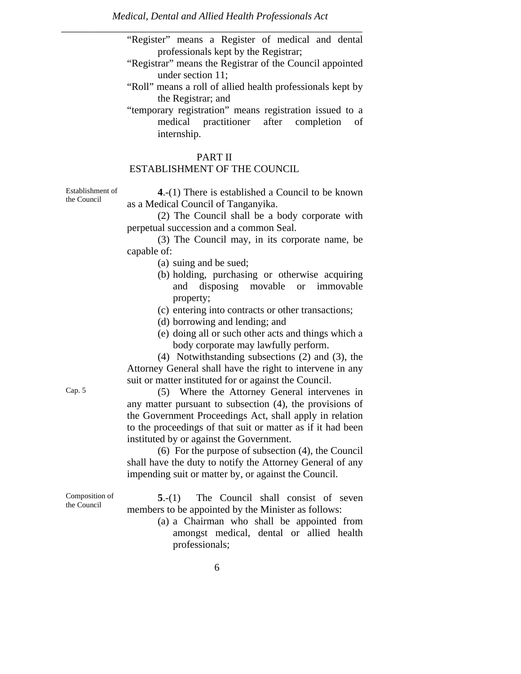"Register" means a Register of medical and dental professionals kept by the Registrar;

- "Registrar" means the Registrar of the Council appointed under section 11;
- "Roll" means a roll of allied health professionals kept by the Registrar; and
- "temporary registration" means registration issued to a medical practitioner after completion of internship.

# PART II ESTABLISHMENT OF THE COUNCIL

Establishment of the Council

**4**.-(1) There is established a Council to be known as a Medical Council of Tanganyika.

 (2) The Council shall be a body corporate with perpetual succession and a common Seal.

 (3) The Council may, in its corporate name, be capable of:

- (a) suing and be sued;
- (b) holding, purchasing or otherwise acquiring and disposing movable or immovable property;
- (c) entering into contracts or other transactions;
- (d) borrowing and lending; and
- (e) doing all or such other acts and things which a body corporate may lawfully perform.

 (4) Notwithstanding subsections (2) and (3), the Attorney General shall have the right to intervene in any suit or matter instituted for or against the Council.

Cap. 5 (5) Where the Attorney General intervenes in any matter pursuant to subsection (4), the provisions of the Government Proceedings Act, shall apply in relation to the proceedings of that suit or matter as if it had been instituted by or against the Government.

> (6) For the purpose of subsection (4), the Council shall have the duty to notify the Attorney General of any impending suit or matter by, or against the Council.

**5**.-(1) The Council shall consist of seven members to be appointed by the Minister as follows:

> (a) a Chairman who shall be appointed from amongst medical, dental or allied health professionals;

Composition of the Council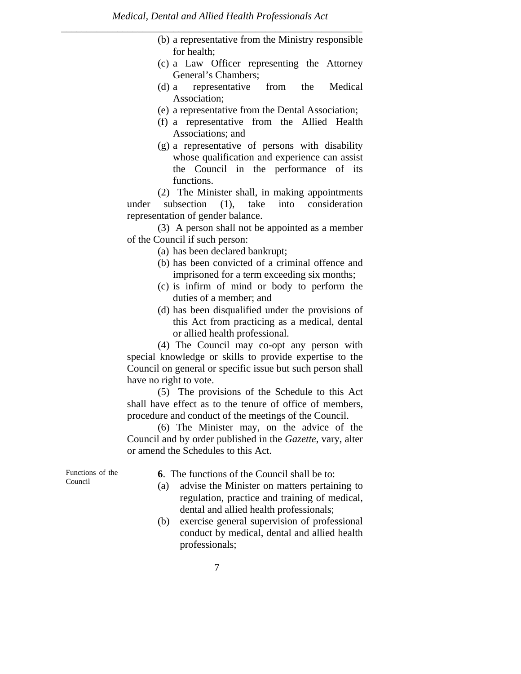- (b) a representative from the Ministry responsible for health;
- (c) a Law Officer representing the Attorney General's Chambers;
- (d) a representative from the Medical Association;
- (e) a representative from the Dental Association;
- (f) a representative from the Allied Health Associations; and
- (g) a representative of persons with disability whose qualification and experience can assist the Council in the performance of its functions.

 (2) The Minister shall, in making appointments under subsection (1), take into consideration representation of gender balance.

 (3) A person shall not be appointed as a member of the Council if such person:

- (a) has been declared bankrupt;
- (b) has been convicted of a criminal offence and imprisoned for a term exceeding six months;
- (c) is infirm of mind or body to perform the duties of a member; and
- (d) has been disqualified under the provisions of this Act from practicing as a medical, dental or allied health professional.

 (4) The Council may co-opt any person with special knowledge or skills to provide expertise to the Council on general or specific issue but such person shall have no right to vote.

 (5) The provisions of the Schedule to this Act shall have effect as to the tenure of office of members, procedure and conduct of the meetings of the Council.

 (6) The Minister may, on the advice of the Council and by order published in the *Gazette*, vary, alter or amend the Schedules to this Act.

Functions of the Council

**6**. The functions of the Council shall be to:

- (a) advise the Minister on matters pertaining to regulation, practice and training of medical, dental and allied health professionals;
- (b) exercise general supervision of professional conduct by medical, dental and allied health professionals;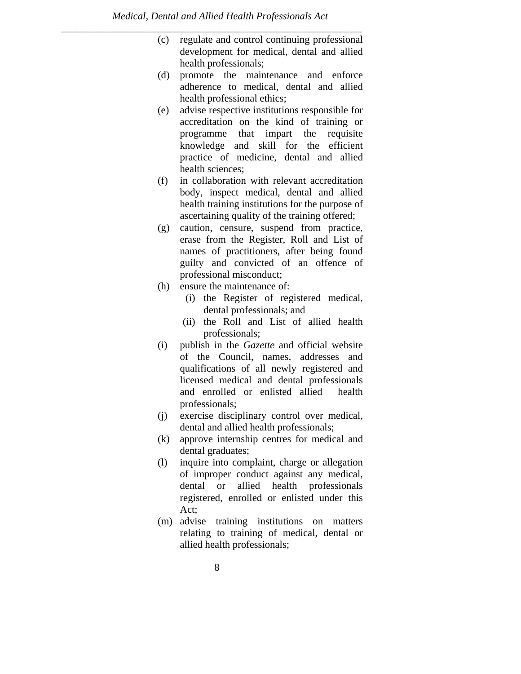- (c) regulate and control continuing professional development for medical, dental and allied health professionals;
- (d) promote the maintenance and enforce adherence to medical, dental and allied health professional ethics;
- (e) advise respective institutions responsible for accreditation on the kind of training or programme that impart the requisite knowledge and skill for the efficient practice of medicine, dental and allied health sciences;
- (f) in collaboration with relevant accreditation body, inspect medical, dental and allied health training institutions for the purpose of ascertaining quality of the training offered;
- (g) caution, censure, suspend from practice, erase from the Register, Roll and List of names of practitioners, after being found guilty and convicted of an offence of professional misconduct;
- (h) ensure the maintenance of:
	- (i) the Register of registered medical, dental professionals; and
	- (ii) the Roll and List of allied health professionals;
- (i) publish in the *Gazette* and official website of the Council, names, addresses and qualifications of all newly registered and licensed medical and dental professionals and enrolled or enlisted allied health professionals;
- (j) exercise disciplinary control over medical, dental and allied health professionals;
- (k) approve internship centres for medical and dental graduates;
- (l) inquire into complaint, charge or allegation of improper conduct against any medical, dental or allied health professionals registered, enrolled or enlisted under this Act;
- (m) advise training institutions on matters relating to training of medical, dental or allied health professionals;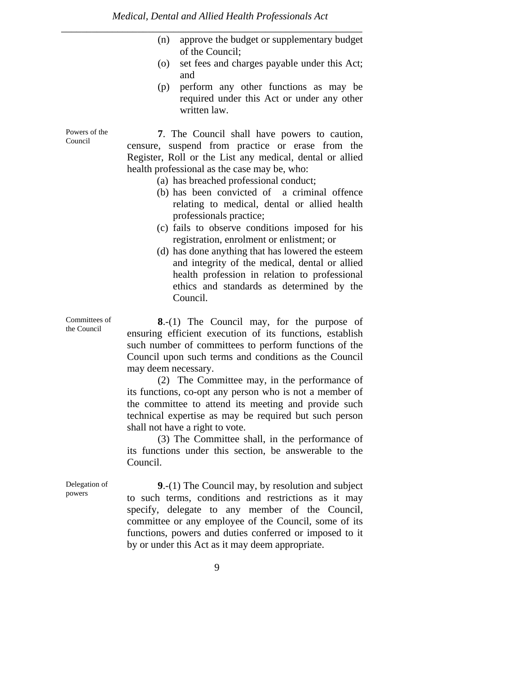- (n) approve the budget or supplementary budget of the Council;
- (o) set fees and charges payable under this Act; and
- (p) perform any other functions as may be required under this Act or under any other written law.

**7**. The Council shall have powers to caution, censure, suspend from practice or erase from the Register, Roll or the List any medical, dental or allied health professional as the case may be, who:

- (a) has breached professional conduct;
- (b) has been convicted of a criminal offence relating to medical, dental or allied health professionals practice;
- (c) fails to observe conditions imposed for his registration, enrolment or enlistment; or
- (d) has done anything that has lowered the esteem and integrity of the medical, dental or allied health profession in relation to professional ethics and standards as determined by the Council.

**8**.-(1) The Council may, for the purpose of ensuring efficient execution of its functions, establish such number of committees to perform functions of the Council upon such terms and conditions as the Council may deem necessary.

 (2) The Committee may, in the performance of its functions, co-opt any person who is not a member of the committee to attend its meeting and provide such technical expertise as may be required but such person shall not have a right to vote.

 (3) The Committee shall, in the performance of its functions under this section, be answerable to the Council.

**9**.-(1) The Council may, by resolution and subject to such terms, conditions and restrictions as it may specify, delegate to any member of the Council, committee or any employee of the Council, some of its functions, powers and duties conferred or imposed to it by or under this Act as it may deem appropriate.

Powers of the Council

Committees of the Council

Delegation of powers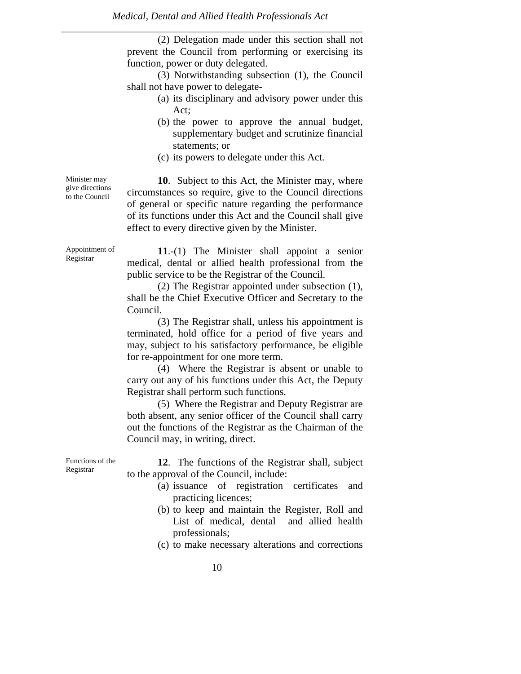(2) Delegation made under this section shall not prevent the Council from performing or exercising its function, power or duty delegated.

 (3) Notwithstanding subsection (1), the Council shall not have power to delegate-

- (a) its disciplinary and advisory power under this Act;
- (b) the power to approve the annual budget, supplementary budget and scrutinize financial statements; or
- (c) its powers to delegate under this Act.

**10**. Subject to this Act, the Minister may, where circumstances so require, give to the Council directions of general or specific nature regarding the performance of its functions under this Act and the Council shall give effect to every directive given by the Minister.

**11**.-(1) The Minister shall appoint a senior medical, dental or allied health professional from the public service to be the Registrar of the Council.

 (2) The Registrar appointed under subsection (1), shall be the Chief Executive Officer and Secretary to the Council.

 (3) The Registrar shall, unless his appointment is terminated, hold office for a period of five years and may, subject to his satisfactory performance, be eligible for re-appointment for one more term.

 (4) Where the Registrar is absent or unable to carry out any of his functions under this Act, the Deputy Registrar shall perform such functions.

 (5) Where the Registrar and Deputy Registrar are both absent, any senior officer of the Council shall carry out the functions of the Registrar as the Chairman of the Council may, in writing, direct.

Functions of the Registrar

**12**. The functions of the Registrar shall, subject to the approval of the Council, include:

- (a) issuance of registration certificates and practicing licences;
- (b) to keep and maintain the Register, Roll and List of medical, dental and allied health professionals;
- (c) to make necessary alterations and corrections

Minister may give directions to the Council

Appointment of Registrar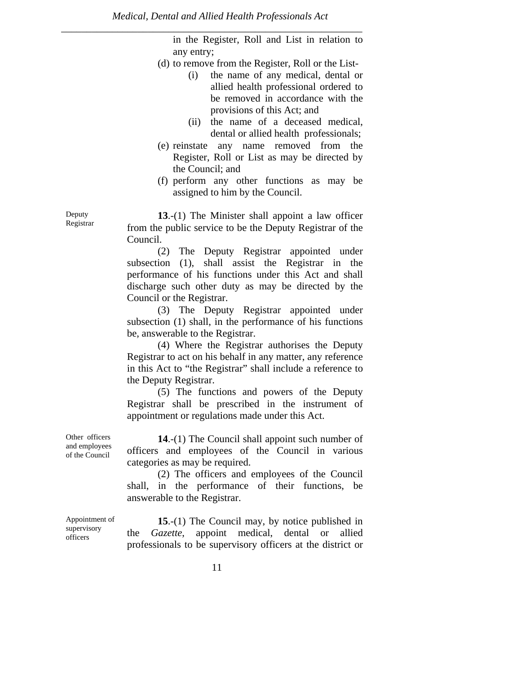in the Register, Roll and List in relation to any entry;

- (d) to remove from the Register, Roll or the List-
	- (i) the name of any medical, dental or allied health professional ordered to be removed in accordance with the provisions of this Act; and
	- (ii) the name of a deceased medical, dental or allied health professionals;
- (e) reinstate any name removed from the Register, Roll or List as may be directed by the Council; and
- (f) perform any other functions as may be assigned to him by the Council.

**13**.-(1) The Minister shall appoint a law officer from the public service to be the Deputy Registrar of the Council.

 (2) The Deputy Registrar appointed under subsection (1), shall assist the Registrar in the performance of his functions under this Act and shall discharge such other duty as may be directed by the Council or the Registrar.

 (3) The Deputy Registrar appointed under subsection (1) shall, in the performance of his functions be, answerable to the Registrar.

 (4) Where the Registrar authorises the Deputy Registrar to act on his behalf in any matter, any reference in this Act to "the Registrar" shall include a reference to the Deputy Registrar.

 (5) The functions and powers of the Deputy Registrar shall be prescribed in the instrument of appointment or regulations made under this Act.

**14**.-(1) The Council shall appoint such number of officers and employees of the Council in various categories as may be required.

 (2) The officers and employees of the Council shall, in the performance of their functions, be answerable to the Registrar.

Appointment of supervisory officers

Other officers and employees of the Council

> **15**.-(1) The Council may, by notice published in the *Gazette*, appoint medical, dental or allied professionals to be supervisory officers at the district or

Deputy Registrar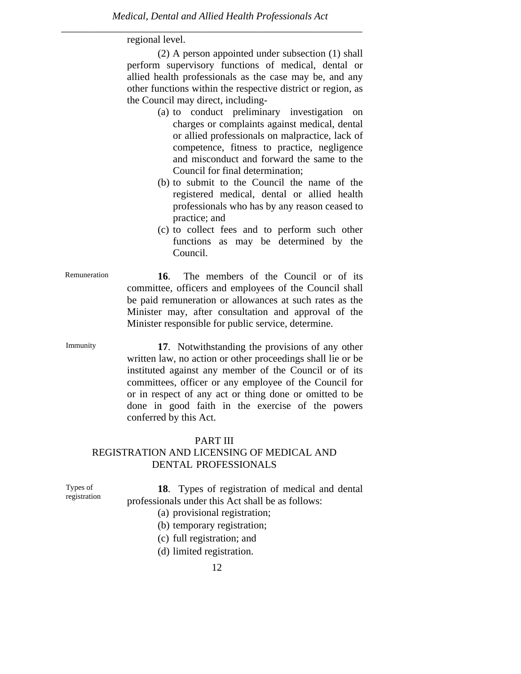regional level.

 (2) A person appointed under subsection (1) shall perform supervisory functions of medical, dental or allied health professionals as the case may be, and any other functions within the respective district or region, as the Council may direct, including-

- (a) to conduct preliminary investigation on charges or complaints against medical, dental or allied professionals on malpractice, lack of competence, fitness to practice, negligence and misconduct and forward the same to the Council for final determination;
- (b) to submit to the Council the name of the registered medical, dental or allied health professionals who has by any reason ceased to practice; and
- (c) to collect fees and to perform such other functions as may be determined by the Council.
- Remuneration **16**. The members of the Council or of its committee, officers and employees of the Council shall be paid remuneration or allowances at such rates as the Minister may, after consultation and approval of the Minister responsible for public service, determine.
- Immunity **17**. Notwithstanding the provisions of any other written law, no action or other proceedings shall lie or be instituted against any member of the Council or of its committees, officer or any employee of the Council for or in respect of any act or thing done or omitted to be done in good faith in the exercise of the powers conferred by this Act.

#### PART III

# REGISTRATION AND LICENSING OF MEDICAL AND DENTAL PROFESSIONALS

| Types of<br>registration | 18. Types of registration of medical and dental<br>professionals under this Act shall be as follows: |
|--------------------------|------------------------------------------------------------------------------------------------------|
|                          | (a) provisional registration;                                                                        |
|                          | (b) temporary registration;                                                                          |

- (c) full registration; and
- (d) limited registration.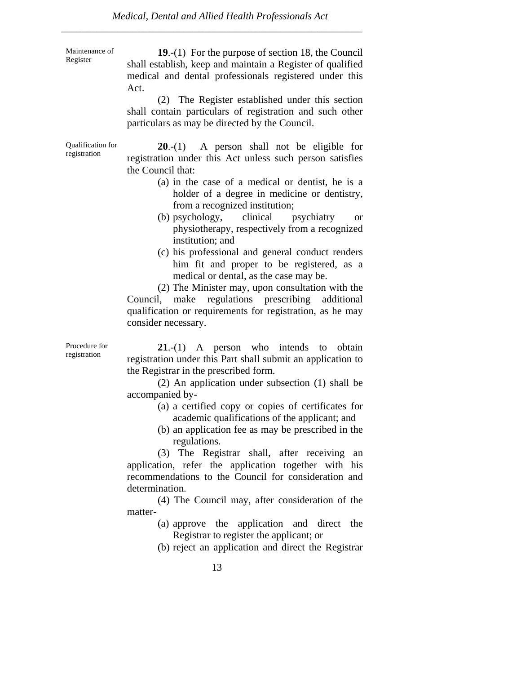Maintenance of Register

**19**.-(1) For the purpose of section 18, the Council shall establish, keep and maintain a Register of qualified medical and dental professionals registered under this Act.

 (2) The Register established under this section shall contain particulars of registration and such other particulars as may be directed by the Council.

Qualification for registration **20**.-(1) A person shall not be eligible for registration under this Act unless such person satisfies the Council that:

- (a) in the case of a medical or dentist, he is a holder of a degree in medicine or dentistry, from a recognized institution;
- (b) psychology, clinical psychiatry or physiotherapy, respectively from a recognized institution; and
- (c) his professional and general conduct renders him fit and proper to be registered, as a medical or dental, as the case may be.

 (2) The Minister may, upon consultation with the Council, make regulations prescribing additional qualification or requirements for registration, as he may consider necessary.

Procedure for registration

**21**.-(1) A person who intends to obtain registration under this Part shall submit an application to the Registrar in the prescribed form.

 (2) An application under subsection (1) shall be accompanied by-

- (a) a certified copy or copies of certificates for academic qualifications of the applicant; and
- (b) an application fee as may be prescribed in the regulations.

 (3) The Registrar shall, after receiving an application, refer the application together with his recommendations to the Council for consideration and determination.

 (4) The Council may, after consideration of the matter-

> (a) approve the application and direct the Registrar to register the applicant; or

> (b) reject an application and direct the Registrar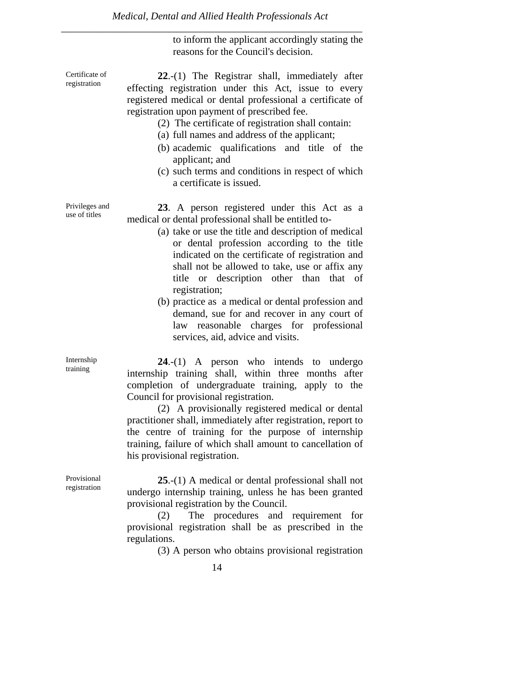to inform the applicant accordingly stating the reasons for the Council's decision.

**22**.-(1) The Registrar shall, immediately after effecting registration under this Act, issue to every registered medical or dental professional a certificate of registration upon payment of prescribed fee.

- (2) The certificate of registration shall contain:
- (a) full names and address of the applicant;
- (b) academic qualifications and title of the applicant; and
- (c) such terms and conditions in respect of which a certificate is issued.

Privileges and use of titles

Certificate of registration

> **23**. A person registered under this Act as a medical or dental professional shall be entitled to-

- (a) take or use the title and description of medical or dental profession according to the title indicated on the certificate of registration and shall not be allowed to take, use or affix any title or description other than that of registration;
- (b) practice as a medical or dental profession and demand, sue for and recover in any court of law reasonable charges for professional services, aid, advice and visits.

**24**.-(1) A person who intends to undergo internship training shall, within three months after completion of undergraduate training, apply to the Council for provisional registration.

 (2) A provisionally registered medical or dental practitioner shall, immediately after registration, report to the centre of training for the purpose of internship training, failure of which shall amount to cancellation of his provisional registration.

Provisional registration

Internship training

> **25**.-(1) A medical or dental professional shall not undergo internship training, unless he has been granted provisional registration by the Council.

> (2) The procedures and requirement for provisional registration shall be as prescribed in the regulations.

> > (3) A person who obtains provisional registration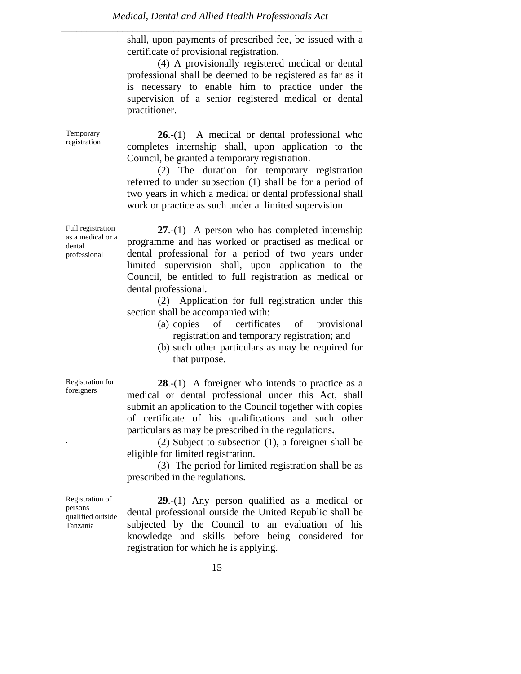*Medical, Dental and Allied Health Professionals Act* 

*\_\_\_\_\_\_\_\_\_\_\_\_\_\_\_\_\_\_\_\_\_\_\_\_\_\_\_\_\_\_\_\_\_\_\_\_\_\_\_\_\_\_\_\_\_\_\_\_\_\_\_\_\_\_\_\_\_\_\_* 

shall, upon payments of prescribed fee, be issued with a certificate of provisional registration.

 (4) A provisionally registered medical or dental professional shall be deemed to be registered as far as it is necessary to enable him to practice under the supervision of a senior registered medical or dental practitioner.

**26**.-(1) A medical or dental professional who completes internship shall, upon application to the Council, be granted a temporary registration.

 (2) The duration for temporary registration referred to under subsection (1) shall be for a period of two years in which a medical or dental professional shall work or practice as such under a limited supervision.

**27**.-(1) A person who has completed internship programme and has worked or practised as medical or dental professional for a period of two years under limited supervision shall, upon application to the Council, be entitled to full registration as medical or dental professional.

 (2) Application for full registration under this section shall be accompanied with:

- (a) copies of certificates of provisional registration and temporary registration; and
- (b) such other particulars as may be required for that purpose.

**28**.-(1) A foreigner who intends to practice as a medical or dental professional under this Act, shall submit an application to the Council together with copies of certificate of his qualifications and such other particulars as may be prescribed in the regulations.<br>(2) Subject to subsection (1), a foreigner shall be

eligible for limited registration.

 (3) The period for limited registration shall be as prescribed in the regulations.

Registration of persons qualified outside Tanzania

Registration for foreigners

> **29**.-(1) Any person qualified as a medical or dental professional outside the United Republic shall be subjected by the Council to an evaluation of his knowledge and skills before being considered for registration for which he is applying.

Full registration as a medical or a dental professional

Temporary registration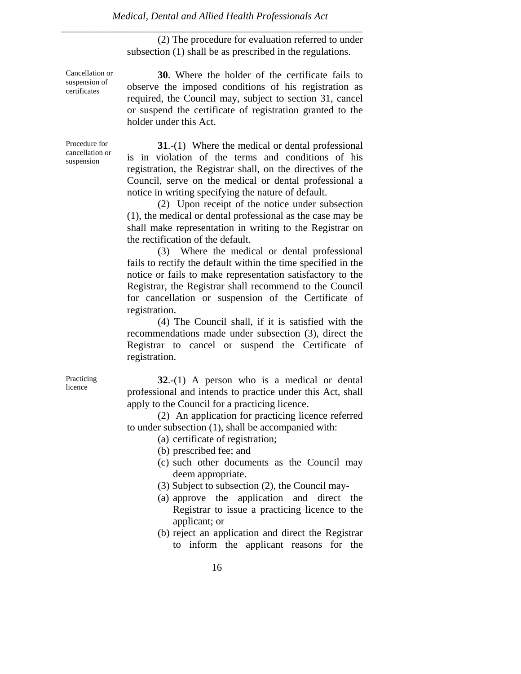(2) The procedure for evaluation referred to under subsection (1) shall be as prescribed in the regulations.

Cancellation or suspension of certificates

**30**. Where the holder of the certificate fails to observe the imposed conditions of his registration as required, the Council may, subject to section 31, cancel or suspend the certificate of registration granted to the holder under this Act.

Procedure for cancellation or suspension

**31**.-(1) Where the medical or dental professional is in violation of the terms and conditions of his registration, the Registrar shall, on the directives of the Council, serve on the medical or dental professional a notice in writing specifying the nature of default.

 (2) Upon receipt of the notice under subsection (1), the medical or dental professional as the case may be shall make representation in writing to the Registrar on the rectification of the default.

 (3) Where the medical or dental professional fails to rectify the default within the time specified in the notice or fails to make representation satisfactory to the Registrar, the Registrar shall recommend to the Council for cancellation or suspension of the Certificate of registration.

 (4) The Council shall, if it is satisfied with the recommendations made under subsection (3), direct the Registrar to cancel or suspend the Certificate of registration.

**Practicing** licence

**32**.-(1) A person who is a medical or dental professional and intends to practice under this Act, shall apply to the Council for a practicing licence.

 (2) An application for practicing licence referred to under subsection (1), shall be accompanied with:

- (a) certificate of registration;
- (b) prescribed fee; and
- (c) such other documents as the Council may deem appropriate.
- (3) Subject to subsection (2), the Council may-
- (a) approve the application and direct the Registrar to issue a practicing licence to the applicant; or
- (b) reject an application and direct the Registrar to inform the applicant reasons for the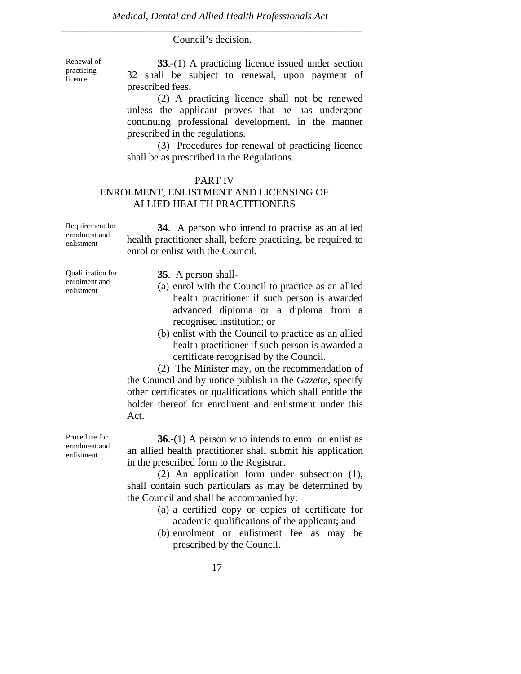# *\_\_\_\_\_\_\_\_\_\_\_\_\_\_\_\_\_\_\_\_\_\_\_\_\_\_\_\_\_\_\_\_\_\_\_\_\_\_\_\_\_\_\_\_\_\_\_\_\_\_\_\_\_\_\_\_\_\_\_*  Council's decision.

Renewal of practicing licence

**33**.-(1) A practicing licence issued under section 32 shall be subject to renewal, upon payment of prescribed fees.

 (2) A practicing licence shall not be renewed unless the applicant proves that he has undergone continuing professional development, in the manner prescribed in the regulations.

 (3) Procedures for renewal of practicing licence shall be as prescribed in the Regulations.

#### PART IV

# ENROLMENT, ENLISTMENT AND LICENSING OF ALLIED HEALTH PRACTITIONERS

| Requirement for | 34. A person who intend to practise as an allied             |
|-----------------|--------------------------------------------------------------|
| enrolment and   | health practitioner shall, before practicing, be required to |
| enlistment      | enrol or enlist with the Council.                            |
|                 |                                                              |

Qualification for enrolment and enlistment

**35**. A person shall-

- (a) enrol with the Council to practice as an allied health practitioner if such person is awarded advanced diploma or a diploma from a recognised institution; or
- (b) enlist with the Council to practice as an allied health practitioner if such person is awarded a certificate recognised by the Council.

 (2) The Minister may, on the recommendation of the Council and by notice publish in the *Gazette*, specify other certificates or qualifications which shall entitle the holder thereof for enrolment and enlistment under this Act.

Procedure for enrolment and enlistment

**36**.-(1) A person who intends to enrol or enlist as an allied health practitioner shall submit his application in the prescribed form to the Registrar.

 (2) An application form under subsection (1), shall contain such particulars as may be determined by the Council and shall be accompanied by:

- (a) a certified copy or copies of certificate for academic qualifications of the applicant; and
- (b) enrolment or enlistment fee as may be prescribed by the Council.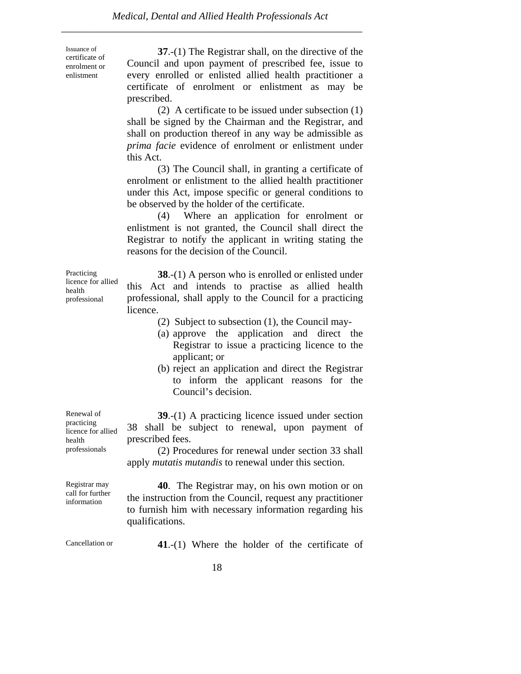| Issuance of<br>certificate of<br>enrolment or<br>enlistment | 37.-(1) The Registrar shall, on the directive of the<br>Council and upon payment of prescribed fee, issue to<br>every enrolled or enlisted allied health practitioner a<br>certificate of enrolment or enlistment as may be<br>prescribed.<br>(2) A certificate to be issued under subsection $(1)$<br>shall be signed by the Chairman and the Registrar, and<br>shall on production thereof in any way be admissible as<br><i>prima facie</i> evidence of enrolment or enlistment under<br>this Act.<br>(3) The Council shall, in granting a certificate of<br>enrolment or enlistment to the allied health practitioner<br>under this Act, impose specific or general conditions to<br>be observed by the holder of the certificate.<br>(4) Where an application for enrolment or<br>enlistment is not granted, the Council shall direct the<br>Registrar to notify the applicant in writing stating the<br>reasons for the decision of the Council. |
|-------------------------------------------------------------|--------------------------------------------------------------------------------------------------------------------------------------------------------------------------------------------------------------------------------------------------------------------------------------------------------------------------------------------------------------------------------------------------------------------------------------------------------------------------------------------------------------------------------------------------------------------------------------------------------------------------------------------------------------------------------------------------------------------------------------------------------------------------------------------------------------------------------------------------------------------------------------------------------------------------------------------------------|
| Practicing<br>licence for allied<br>health<br>professional  | <b>38.</b> - $(1)$ A person who is enrolled or enlisted under<br>this Act and intends to practise as allied health<br>professional, shall apply to the Council for a practicing<br>licence.<br>(2) Subject to subsection (1), the Council may-                                                                                                                                                                                                                                                                                                                                                                                                                                                                                                                                                                                                                                                                                                         |

- (a) approve the application and direct the Registrar to issue a practicing licence to the applicant; or
- (b) reject an application and direct the Registrar to inform the applicant reasons for the Council's decision.

**39**.-(1) A practicing licence issued under section 38 shall be subject to renewal, upon payment of prescribed fees.

 (2) Procedures for renewal under section 33 shall apply *mutatis mutandis* to renewal under this section.

**40**. The Registrar may, on his own motion or on the instruction from the Council, request any practitioner to furnish him with necessary information regarding his qualifications.

Cancellation or **41**.-(1) Where the holder of the certificate of

Renewal of practicing licence for allied health professionals

Registrar may call for further information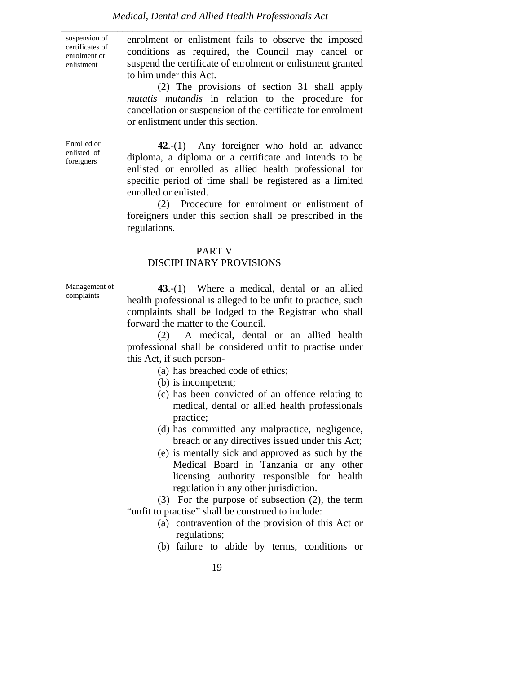suspension of certificates of enrolment or enlistment

enrolment or enlistment fails to observe the imposed conditions as required, the Council may cancel or suspend the certificate of enrolment or enlistment granted to him under this Act.

 (2) The provisions of section 31 shall apply *mutatis mutandis* in relation to the procedure for cancellation or suspension of the certificate for enrolment or enlistment under this section.

Enrolled or enlisted of foreigners

**42**.-(1) Any foreigner who hold an advance diploma, a diploma or a certificate and intends to be enlisted or enrolled as allied health professional for specific period of time shall be registered as a limited enrolled or enlisted.

 (2) Procedure for enrolment or enlistment of foreigners under this section shall be prescribed in the regulations.

#### PART V

#### DISCIPLINARY PROVISIONS

Management of complaints

**43**.-(1) Where a medical, dental or an allied health professional is alleged to be unfit to practice, such complaints shall be lodged to the Registrar who shall forward the matter to the Council.

 (2) A medical, dental or an allied health professional shall be considered unfit to practise under this Act, if such person-

- (a) has breached code of ethics;
- (b) is incompetent;
- (c) has been convicted of an offence relating to medical, dental or allied health professionals practice;
- (d) has committed any malpractice, negligence, breach or any directives issued under this Act;
- (e) is mentally sick and approved as such by the Medical Board in Tanzania or any other licensing authority responsible for health regulation in any other jurisdiction.

 (3) For the purpose of subsection (2), the term "unfit to practise" shall be construed to include:

- (a) contravention of the provision of this Act or regulations;
- (b) failure to abide by terms, conditions or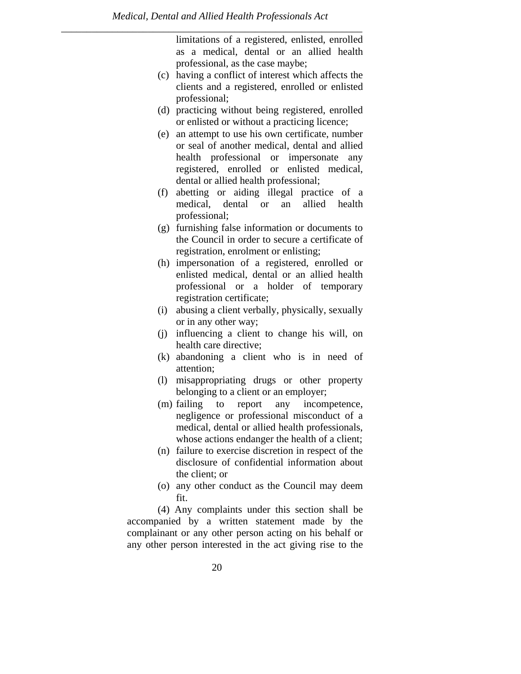limitations of a registered, enlisted, enrolled as a medical, dental or an allied health professional, as the case maybe;

- (c) having a conflict of interest which affects the clients and a registered, enrolled or enlisted professional;
- (d) practicing without being registered, enrolled or enlisted or without a practicing licence;
- (e) an attempt to use his own certificate, number or seal of another medical, dental and allied health professional or impersonate any registered, enrolled or enlisted medical, dental or allied health professional;
- (f) abetting or aiding illegal practice of a medical, dental or an allied health professional;
- (g) furnishing false information or documents to the Council in order to secure a certificate of registration, enrolment or enlisting;
- (h) impersonation of a registered, enrolled or enlisted medical, dental or an allied health professional or a holder of temporary registration certificate;
- (i) abusing a client verbally, physically, sexually or in any other way;
- (j) influencing a client to change his will, on health care directive;
- (k) abandoning a client who is in need of attention;
- (l) misappropriating drugs or other property belonging to a client or an employer;
- (m) failing to report any incompetence, negligence or professional misconduct of a medical, dental or allied health professionals, whose actions endanger the health of a client;
- (n) failure to exercise discretion in respect of the disclosure of confidential information about the client; or
- (o) any other conduct as the Council may deem fit.

 (4) Any complaints under this section shall be accompanied by a written statement made by the complainant or any other person acting on his behalf or any other person interested in the act giving rise to the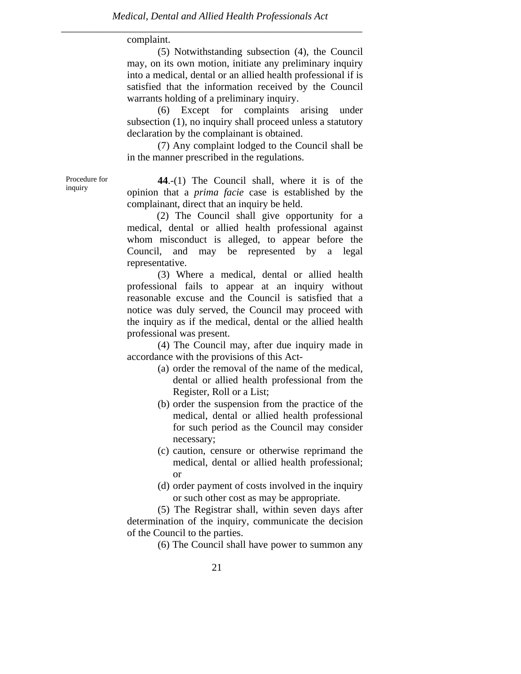complaint.

 (5) Notwithstanding subsection (4), the Council may, on its own motion, initiate any preliminary inquiry into a medical, dental or an allied health professional if is satisfied that the information received by the Council warrants holding of a preliminary inquiry.

 (6) Except for complaints arising under subsection (1), no inquiry shall proceed unless a statutory declaration by the complainant is obtained.

 (7) Any complaint lodged to the Council shall be in the manner prescribed in the regulations.

Procedure for inquiry

**44**.-(1) The Council shall, where it is of the opinion that a *prima facie* case is established by the complainant, direct that an inquiry be held.

 (2) The Council shall give opportunity for a medical, dental or allied health professional against whom misconduct is alleged, to appear before the Council, and may be represented by a legal representative.

 (3) Where a medical, dental or allied health professional fails to appear at an inquiry without reasonable excuse and the Council is satisfied that a notice was duly served, the Council may proceed with the inquiry as if the medical, dental or the allied health professional was present.

 (4) The Council may, after due inquiry made in accordance with the provisions of this Act-

- (a) order the removal of the name of the medical, dental or allied health professional from the Register, Roll or a List;
- (b) order the suspension from the practice of the medical, dental or allied health professional for such period as the Council may consider necessary;
- (c) caution, censure or otherwise reprimand the medical, dental or allied health professional; or
- (d) order payment of costs involved in the inquiry or such other cost as may be appropriate.

 (5) The Registrar shall, within seven days after determination of the inquiry, communicate the decision of the Council to the parties.

(6) The Council shall have power to summon any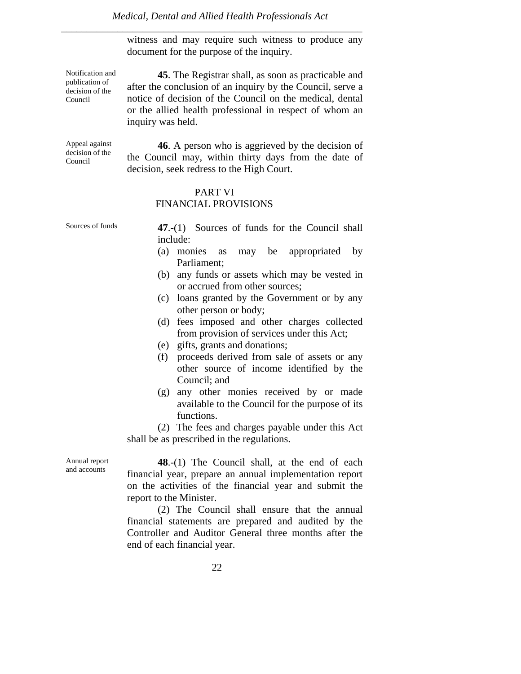witness and may require such witness to produce any document for the purpose of the inquiry.

Notification and **45**. The Registrar shall, as soon as practicable and after the conclusion of an inquiry by the Council, serve a notice of decision of the Council on the medical, dental or the allied health professional in respect of whom an inquiry was held.

Appeal against decision of the Council

publication of decision of the Council

> **46**. A person who is aggrieved by the decision of the Council may, within thirty days from the date of decision, seek redress to the High Court.

#### PART VI FINANCIAL PROVISIONS

Sources of funds **47.-(1)** Sources of funds for the Council shall include:

- (a) monies as may be appropriated by Parliament;
- (b) any funds or assets which may be vested in or accrued from other sources;
- (c) loans granted by the Government or by any other person or body;
- (d) fees imposed and other charges collected from provision of services under this Act;
- (e) gifts, grants and donations;
- (f) proceeds derived from sale of assets or any other source of income identified by the Council; and
- (g) any other monies received by or made available to the Council for the purpose of its functions.

 (2) The fees and charges payable under this Act shall be as prescribed in the regulations.

Annual report and accounts

**48**.-(1) The Council shall, at the end of each financial year, prepare an annual implementation report on the activities of the financial year and submit the report to the Minister.

 (2) The Council shall ensure that the annual financial statements are prepared and audited by the Controller and Auditor General three months after the end of each financial year.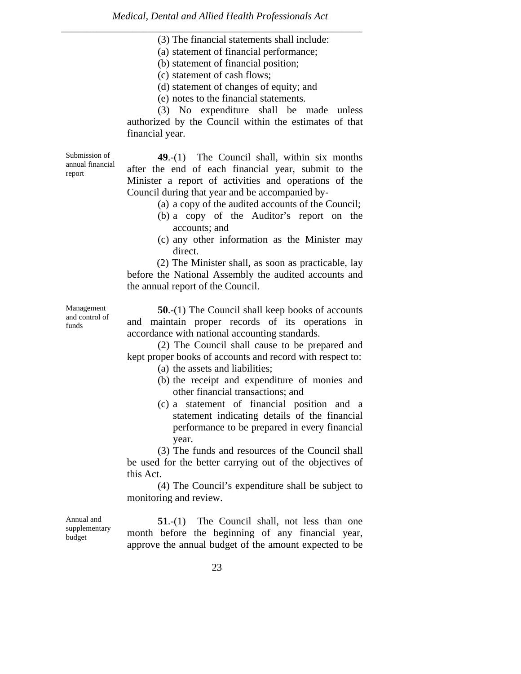- (3) The financial statements shall include:
- (a) statement of financial performance;
- (b) statement of financial position;
- (c) statement of cash flows;
- (d) statement of changes of equity; and
- (e) notes to the financial statements.

 (3) No expenditure shall be made unless authorized by the Council within the estimates of that financial year.

Submission of annual financial report

**49**.-(1) The Council shall, within six months after the end of each financial year, submit to the Minister a report of activities and operations of the Council during that year and be accompanied by-

- (a) a copy of the audited accounts of the Council;
- (b) a copy of the Auditor's report on the accounts; and
- (c) any other information as the Minister may direct.

 (2) The Minister shall, as soon as practicable, lay before the National Assembly the audited accounts and the annual report of the Council.

Management and control of funds

**50**.-(1) The Council shall keep books of accounts and maintain proper records of its operations in accordance with national accounting standards.

 (2) The Council shall cause to be prepared and kept proper books of accounts and record with respect to:

- (a) the assets and liabilities;
- (b) the receipt and expenditure of monies and other financial transactions; and
- (c) a statement of financial position and a statement indicating details of the financial performance to be prepared in every financial year.

 (3) The funds and resources of the Council shall be used for the better carrying out of the objectives of this Act.

 (4) The Council's expenditure shall be subject to monitoring and review.

Annual and supplementary budget

**51**.-(1) The Council shall, not less than one month before the beginning of any financial year, approve the annual budget of the amount expected to be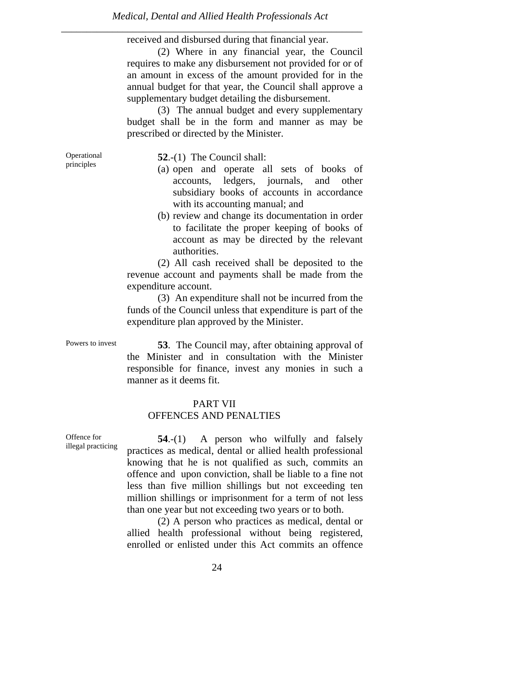received and disbursed during that financial year.

 (2) Where in any financial year, the Council requires to make any disbursement not provided for or of an amount in excess of the amount provided for in the annual budget for that year, the Council shall approve a supplementary budget detailing the disbursement.

 (3) The annual budget and every supplementary budget shall be in the form and manner as may be prescribed or directed by the Minister.

Operational principles

**52**.-(1) The Council shall:

- (a) open and operate all sets of books of accounts, ledgers, journals, and other subsidiary books of accounts in accordance with its accounting manual; and
- (b) review and change its documentation in order to facilitate the proper keeping of books of account as may be directed by the relevant authorities.

 (2) All cash received shall be deposited to the revenue account and payments shall be made from the expenditure account.

 (3) An expenditure shall not be incurred from the funds of the Council unless that expenditure is part of the expenditure plan approved by the Minister.

Powers to invest **53**. The Council may, after obtaining approval of the Minister and in consultation with the Minister responsible for finance, invest any monies in such a manner as it deems fit.

# PART VII

# OFFENCES AND PENALTIES

Offence for illegal practicing

**54**.-(1) A person who wilfully and falsely practices as medical, dental or allied health professional knowing that he is not qualified as such, commits an offence and upon conviction, shall be liable to a fine not less than five million shillings but not exceeding ten million shillings or imprisonment for a term of not less than one year but not exceeding two years or to both.

 (2) A person who practices as medical, dental or allied health professional without being registered, enrolled or enlisted under this Act commits an offence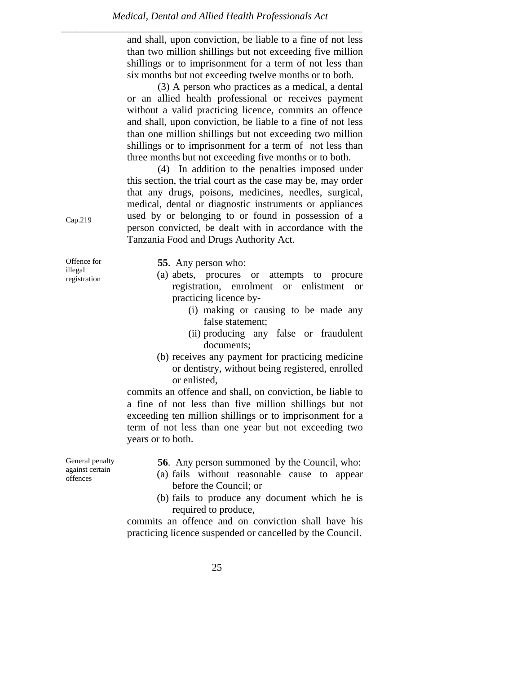and shall, upon conviction, be liable to a fine of not less than two million shillings but not exceeding five million shillings or to imprisonment for a term of not less than six months but not exceeding twelve months or to both.

 (3) A person who practices as a medical, a dental or an allied health professional or receives payment without a valid practicing licence, commits an offence and shall, upon conviction, be liable to a fine of not less than one million shillings but not exceeding two million shillings or to imprisonment for a term of not less than three months but not exceeding five months or to both.

 (4) In addition to the penalties imposed under this section, the trial court as the case may be, may order that any drugs, poisons, medicines, needles, surgical, medical, dental or diagnostic instruments or appliances used by or belonging to or found in possession of a person convicted, be dealt with in accordance with the Tanzania Food and Drugs Authority Act.

Offence for **55**. Any person who: (a) abets, procures or attempts to procure registration, enrolment or enlistment or practicing licence by-

- (i) making or causing to be made any false statement;
- (ii) producing any false or fraudulent documents;
- (b) receives any payment for practicing medicine or dentistry, without being registered, enrolled or enlisted,

commits an offence and shall, on conviction, be liable to a fine of not less than five million shillings but not exceeding ten million shillings or to imprisonment for a term of not less than one year but not exceeding two years or to both.

**56**. Any person summoned by the Council, who:

- (a) fails without reasonable cause to appear before the Council; or
- (b) fails to produce any document which he is required to produce,

commits an offence and on conviction shall have his practicing licence suspended or cancelled by the Council.

Cap.219

illegal registration

General penalty against certain offences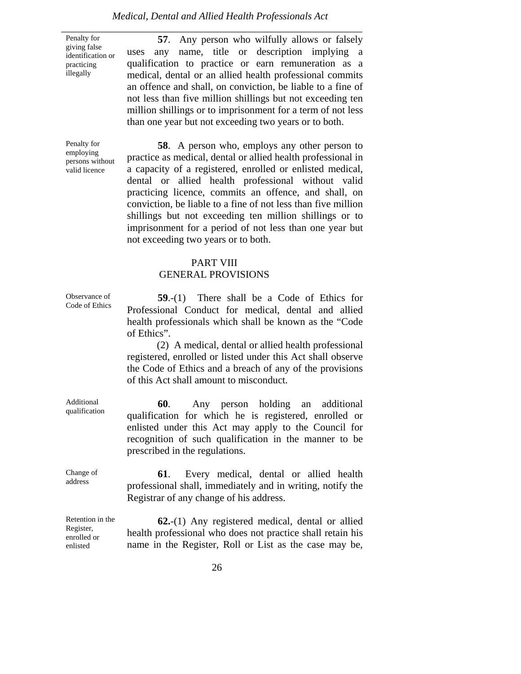#### *Medical, Dental and Allied Health Professionals Act*

*\_\_\_\_\_\_\_\_\_\_\_\_\_\_\_\_\_\_\_\_\_\_\_\_\_\_\_\_\_\_\_\_\_\_\_\_\_\_\_\_\_\_\_\_\_\_\_\_\_\_\_\_\_\_\_\_\_\_\_*  Penalty for giving false identification or practicing illegally

**57**. Any person who wilfully allows or falsely uses any name, title or description implying a qualification to practice or earn remuneration as a medical, dental or an allied health professional commits an offence and shall, on conviction, be liable to a fine of not less than five million shillings but not exceeding ten million shillings or to imprisonment for a term of not less than one year but not exceeding two years or to both.

Penalty for employing persons without valid licence

**58**. A person who, employs any other person to practice as medical, dental or allied health professional in a capacity of a registered, enrolled or enlisted medical, dental or allied health professional without valid practicing licence, commits an offence, and shall, on conviction, be liable to a fine of not less than five million shillings but not exceeding ten million shillings or to imprisonment for a period of not less than one year but not exceeding two years or to both.

#### PART VIII GENERAL PROVISIONS

Observance of Code of Ethics

**59**.-(1) There shall be a Code of Ethics for Professional Conduct for medical, dental and allied health professionals which shall be known as the "Code of Ethics".

 (2) A medical, dental or allied health professional registered, enrolled or listed under this Act shall observe the Code of Ethics and a breach of any of the provisions of this Act shall amount to misconduct.

**60**. Any person holding an additional qualification for which he is registered, enrolled or enlisted under this Act may apply to the Council for recognition of such qualification in the manner to be prescribed in the regulations.

**61**. Every medical, dental or allied health professional shall, immediately and in writing, notify the Registrar of any change of his address.

**62.**-(1) Any registered medical, dental or allied health professional who does not practice shall retain his name in the Register, Roll or List as the case may be,

Change of address

Additional qualification

Retention in the Register, enrolled or enlisted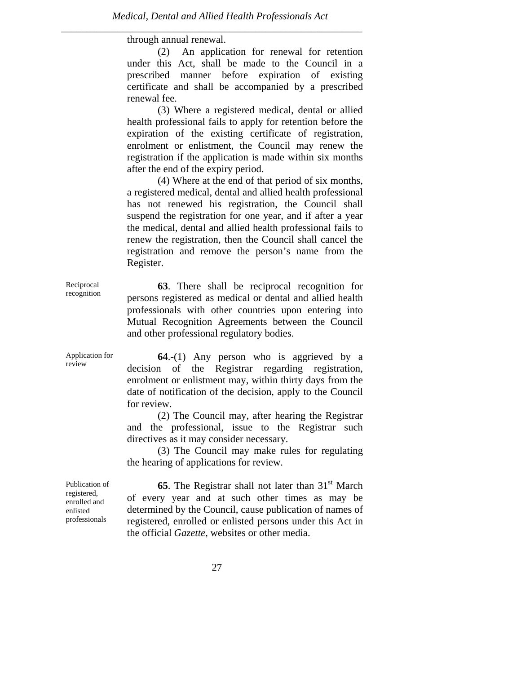through annual renewal.

 (2) An application for renewal for retention under this Act, shall be made to the Council in a prescribed manner before expiration of existing certificate and shall be accompanied by a prescribed renewal fee.

 (3) Where a registered medical, dental or allied health professional fails to apply for retention before the expiration of the existing certificate of registration, enrolment or enlistment, the Council may renew the registration if the application is made within six months after the end of the expiry period.

 (4) Where at the end of that period of six months, a registered medical, dental and allied health professional has not renewed his registration, the Council shall suspend the registration for one year, and if after a year the medical, dental and allied health professional fails to renew the registration, then the Council shall cancel the registration and remove the person's name from the Register.

**63**. There shall be reciprocal recognition for persons registered as medical or dental and allied health professionals with other countries upon entering into Mutual Recognition Agreements between the Council and other professional regulatory bodies.

**64**.-(1) Any person who is aggrieved by a decision of the Registrar regarding registration, enrolment or enlistment may, within thirty days from the date of notification of the decision, apply to the Council for review.

 (2) The Council may, after hearing the Registrar and the professional, issue to the Registrar such directives as it may consider necessary.

 (3) The Council may make rules for regulating the hearing of applications for review.

Publication of registered, enrolled and enlisted professionals

Reciprocal recognition

Application for review

> **65**. The Registrar shall not later than 31<sup>st</sup> March of every year and at such other times as may be determined by the Council, cause publication of names of registered, enrolled or enlisted persons under this Act in the official *Gazette,* websites or other media.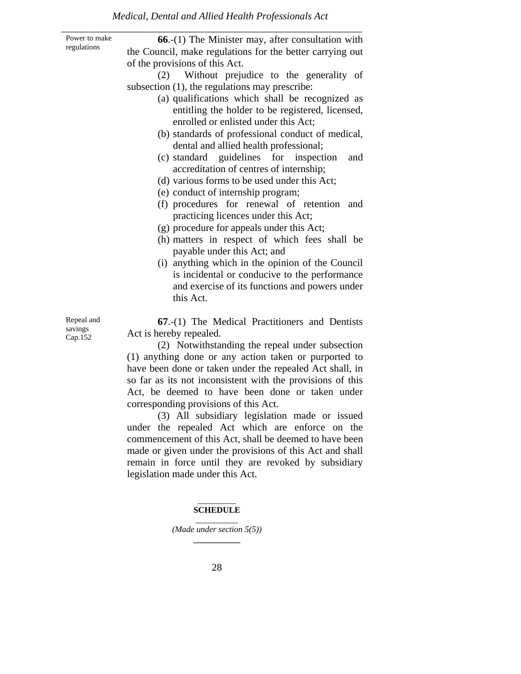| Power to make<br>regulations     | 66.-(1) The Minister may, after consultation with<br>the Council, make regulations for the better carrying out<br>of the provisions of this Act.<br>Without prejudice to the generality of<br>(2)<br>subsection (1), the regulations may prescribe:<br>(a) qualifications which shall be recognized as<br>entitling the holder to be registered, licensed,<br>enrolled or enlisted under this Act;<br>(b) standards of professional conduct of medical,<br>dental and allied health professional;<br>(c) standard guidelines for inspection<br>and<br>accreditation of centres of internship;<br>(d) various forms to be used under this Act;<br>(e) conduct of internship program;<br>(f) procedures for renewal of retention<br>and<br>practicing licences under this Act;<br>(g) procedure for appeals under this Act;<br>(h) matters in respect of which fees shall be<br>payable under this Act; and<br>(i) anything which in the opinion of the Council<br>is incidental or conducive to the performance<br>and exercise of its functions and powers under<br>this Act. |
|----------------------------------|-------------------------------------------------------------------------------------------------------------------------------------------------------------------------------------------------------------------------------------------------------------------------------------------------------------------------------------------------------------------------------------------------------------------------------------------------------------------------------------------------------------------------------------------------------------------------------------------------------------------------------------------------------------------------------------------------------------------------------------------------------------------------------------------------------------------------------------------------------------------------------------------------------------------------------------------------------------------------------------------------------------------------------------------------------------------------------|
| Repeal and<br>savings<br>Cap.152 | 67.-(1) The Medical Practitioners and Dentists<br>Act is hereby repealed.<br>(2) Notwithstanding the repeal under subsection<br>(1) anything done or any action taken or purported to<br>have been done or taken under the repealed Act shall, in<br>so far as its not inconsistent with the provisions of this<br>Act, be deemed to have been done or taken under<br>corresponding provisions of this Act.<br>(3) All subsidiary legislation made or issued<br>under the repealed Act which are enforce on the<br>commencement of this Act, shall be deemed to have been<br>made or given under the provisions of this Act and shall                                                                                                                                                                                                                                                                                                                                                                                                                                         |

remain in force until they are revoked by subsidiary legislation made under this Act.

#### $\overline{\phantom{a}}$  ,  $\overline{\phantom{a}}$  ,  $\overline{\phantom{a}}$  ,  $\overline{\phantom{a}}$  ,  $\overline{\phantom{a}}$  ,  $\overline{\phantom{a}}$  ,  $\overline{\phantom{a}}$  ,  $\overline{\phantom{a}}$  ,  $\overline{\phantom{a}}$  ,  $\overline{\phantom{a}}$  ,  $\overline{\phantom{a}}$  ,  $\overline{\phantom{a}}$  ,  $\overline{\phantom{a}}$  ,  $\overline{\phantom{a}}$  ,  $\overline{\phantom{a}}$  ,  $\overline{\phantom{a}}$ **SCHEDULE**

\_\_\_\_\_\_\_\_\_\_ *(Made under section 5(5))* **\_\_\_\_\_\_\_\_\_\_\_**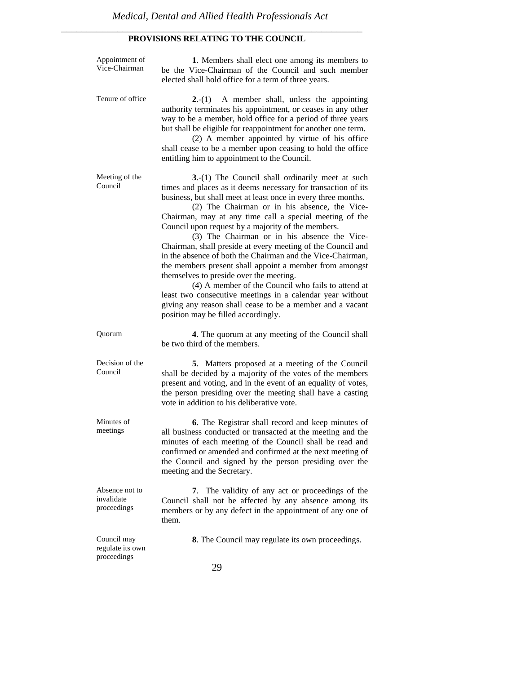#### *\_\_\_\_\_\_\_\_\_\_\_\_\_\_\_\_\_\_\_\_\_\_\_\_\_\_\_\_\_\_\_\_\_\_\_\_\_\_\_\_\_\_\_\_\_\_\_\_\_\_\_\_\_\_\_\_\_\_\_*  **PROVISIONS RELATING TO THE COUNCIL**

| Appointment of<br>Vice-Chairman                | 1. Members shall elect one among its members to<br>be the Vice-Chairman of the Council and such member<br>elected shall hold office for a term of three years.                                                                                                                                                                                                                                                                                                                                                                                                                                                                                                                                                                                                                                                                                                 |
|------------------------------------------------|----------------------------------------------------------------------------------------------------------------------------------------------------------------------------------------------------------------------------------------------------------------------------------------------------------------------------------------------------------------------------------------------------------------------------------------------------------------------------------------------------------------------------------------------------------------------------------------------------------------------------------------------------------------------------------------------------------------------------------------------------------------------------------------------------------------------------------------------------------------|
| Tenure of office                               | A member shall, unless the appointing<br>$2-(1)$<br>authority terminates his appointment, or ceases in any other<br>way to be a member, hold office for a period of three years<br>but shall be eligible for reappointment for another one term.<br>(2) A member appointed by virtue of his office<br>shall cease to be a member upon ceasing to hold the office<br>entitling him to appointment to the Council.                                                                                                                                                                                                                                                                                                                                                                                                                                               |
| Meeting of the<br>Council                      | 3.-(1) The Council shall ordinarily meet at such<br>times and places as it deems necessary for transaction of its<br>business, but shall meet at least once in every three months.<br>(2) The Chairman or in his absence, the Vice-<br>Chairman, may at any time call a special meeting of the<br>Council upon request by a majority of the members.<br>(3) The Chairman or in his absence the Vice-<br>Chairman, shall preside at every meeting of the Council and<br>in the absence of both the Chairman and the Vice-Chairman,<br>the members present shall appoint a member from amongst<br>themselves to preside over the meeting.<br>(4) A member of the Council who fails to attend at<br>least two consecutive meetings in a calendar year without<br>giving any reason shall cease to be a member and a vacant<br>position may be filled accordingly. |
| Quorum                                         | 4. The quorum at any meeting of the Council shall<br>be two third of the members.                                                                                                                                                                                                                                                                                                                                                                                                                                                                                                                                                                                                                                                                                                                                                                              |
| Decision of the<br>Council                     | 5. Matters proposed at a meeting of the Council<br>shall be decided by a majority of the votes of the members<br>present and voting, and in the event of an equality of votes,<br>the person presiding over the meeting shall have a casting<br>vote in addition to his deliberative vote.                                                                                                                                                                                                                                                                                                                                                                                                                                                                                                                                                                     |
| Minutes of<br>meetings                         | 6. The Registrar shall record and keep minutes of<br>all business conducted or transacted at the meeting and the<br>minutes of each meeting of the Council shall be read and<br>confirmed or amended and confirmed at the next meeting of<br>the Council and signed by the person presiding over the<br>meeting and the Secretary.                                                                                                                                                                                                                                                                                                                                                                                                                                                                                                                             |
| Absence not to<br>invalidate<br>proceedings    | The validity of any act or proceedings of the<br>7.<br>Council shall not be affected by any absence among its<br>members or by any defect in the appointment of any one of<br>them.                                                                                                                                                                                                                                                                                                                                                                                                                                                                                                                                                                                                                                                                            |
| Council may<br>regulate its own<br>proceedings | 8. The Council may regulate its own proceedings.<br>29                                                                                                                                                                                                                                                                                                                                                                                                                                                                                                                                                                                                                                                                                                                                                                                                         |
|                                                |                                                                                                                                                                                                                                                                                                                                                                                                                                                                                                                                                                                                                                                                                                                                                                                                                                                                |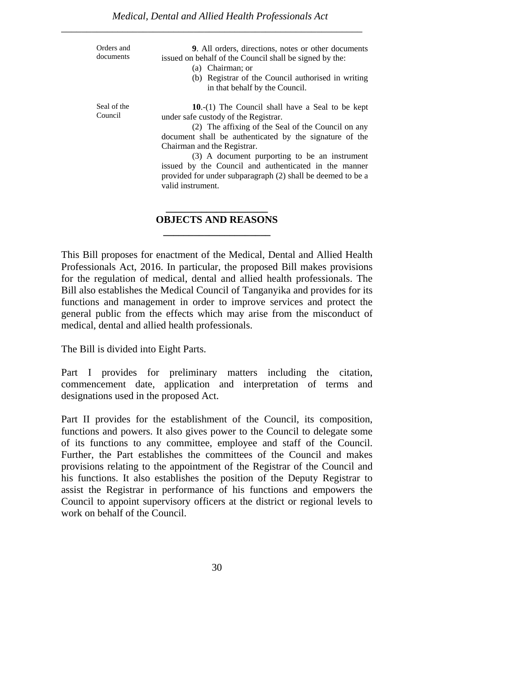| Orders and<br>documents | <b>9.</b> All orders, directions, notes or other documents<br>issued on behalf of the Council shall be signed by the:<br>(a) Chairman; or<br>(b) Registrar of the Council authorised in writing<br>in that behalf by the Council.                                                                                                                                                                                                         |
|-------------------------|-------------------------------------------------------------------------------------------------------------------------------------------------------------------------------------------------------------------------------------------------------------------------------------------------------------------------------------------------------------------------------------------------------------------------------------------|
| Seal of the<br>Council  | 10.- $(1)$ The Council shall have a Seal to be kept<br>under safe custody of the Registrar.<br>(2) The affixing of the Seal of the Council on any<br>document shall be authenticated by the signature of the<br>Chairman and the Registrar.<br>(3) A document purporting to be an instrument<br>issued by the Council and authenticated in the manner<br>provided for under subparagraph (2) shall be deemed to be a<br>valid instrument. |

# **\_\_\_\_\_\_\_\_\_\_\_\_\_\_\_\_\_\_\_\_ OBJECTS AND REASONS \_\_\_\_\_\_\_\_\_\_\_\_\_\_\_\_\_\_\_\_\_**

This Bill proposes for enactment of the Medical, Dental and Allied Health Professionals Act, 2016. In particular, the proposed Bill makes provisions for the regulation of medical, dental and allied health professionals. The Bill also establishes the Medical Council of Tanganyika and provides for its functions and management in order to improve services and protect the general public from the effects which may arise from the misconduct of medical, dental and allied health professionals.

The Bill is divided into Eight Parts.

Part I provides for preliminary matters including the citation, commencement date, application and interpretation of terms and designations used in the proposed Act.

Part II provides for the establishment of the Council, its composition, functions and powers. It also gives power to the Council to delegate some of its functions to any committee, employee and staff of the Council. Further, the Part establishes the committees of the Council and makes provisions relating to the appointment of the Registrar of the Council and his functions. It also establishes the position of the Deputy Registrar to assist the Registrar in performance of his functions and empowers the Council to appoint supervisory officers at the district or regional levels to work on behalf of the Council.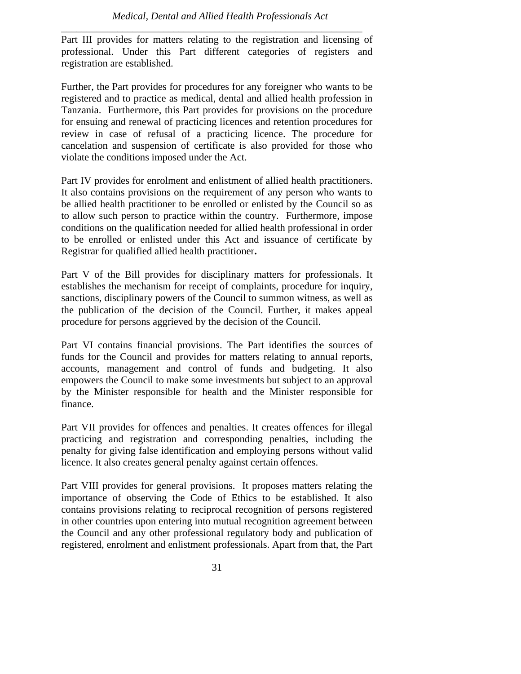Part III provides for matters relating to the registration and licensing of professional. Under this Part different categories of registers and registration are established.

*\_\_\_\_\_\_\_\_\_\_\_\_\_\_\_\_\_\_\_\_\_\_\_\_\_\_\_\_\_\_\_\_\_\_\_\_\_\_\_\_\_\_\_\_\_\_\_\_\_\_\_\_\_\_\_\_\_\_\_* 

Further, the Part provides for procedures for any foreigner who wants to be registered and to practice as medical, dental and allied health profession in Tanzania. Furthermore, this Part provides for provisions on the procedure for ensuing and renewal of practicing licences and retention procedures for review in case of refusal of a practicing licence. The procedure for cancelation and suspension of certificate is also provided for those who violate the conditions imposed under the Act.

Part IV provides for enrolment and enlistment of allied health practitioners. It also contains provisions on the requirement of any person who wants to be allied health practitioner to be enrolled or enlisted by the Council so as to allow such person to practice within the country. Furthermore, impose conditions on the qualification needed for allied health professional in order to be enrolled or enlisted under this Act and issuance of certificate by Registrar for qualified allied health practitioner**.** 

Part V of the Bill provides for disciplinary matters for professionals. It establishes the mechanism for receipt of complaints, procedure for inquiry, sanctions, disciplinary powers of the Council to summon witness, as well as the publication of the decision of the Council. Further, it makes appeal procedure for persons aggrieved by the decision of the Council.

Part VI contains financial provisions. The Part identifies the sources of funds for the Council and provides for matters relating to annual reports, accounts, management and control of funds and budgeting. It also empowers the Council to make some investments but subject to an approval by the Minister responsible for health and the Minister responsible for finance.

Part VII provides for offences and penalties. It creates offences for illegal practicing and registration and corresponding penalties, including the penalty for giving false identification and employing persons without valid licence. It also creates general penalty against certain offences.

Part VIII provides for general provisions. It proposes matters relating the importance of observing the Code of Ethics to be established. It also contains provisions relating to reciprocal recognition of persons registered in other countries upon entering into mutual recognition agreement between the Council and any other professional regulatory body and publication of registered, enrolment and enlistment professionals. Apart from that, the Part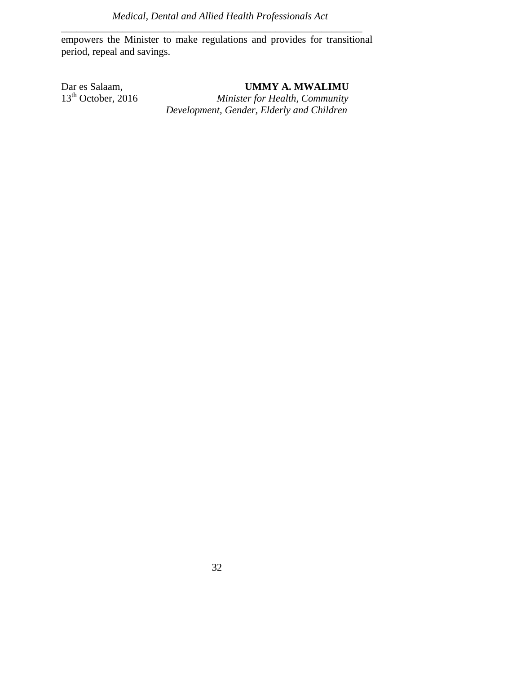empowers the Minister to make regulations and provides for transitional period, repeal and savings.

*\_\_\_\_\_\_\_\_\_\_\_\_\_\_\_\_\_\_\_\_\_\_\_\_\_\_\_\_\_\_\_\_\_\_\_\_\_\_\_\_\_\_\_\_\_\_\_\_\_\_\_\_\_\_\_\_\_\_\_* 

Dar es Salaam, **UMMY A. MWALIMU**<br>13<sup>th</sup> October, 2016 *Minister for Health, Community*  $Minister for Health, Community$ 

 *Development, Gender, Elderly and Children*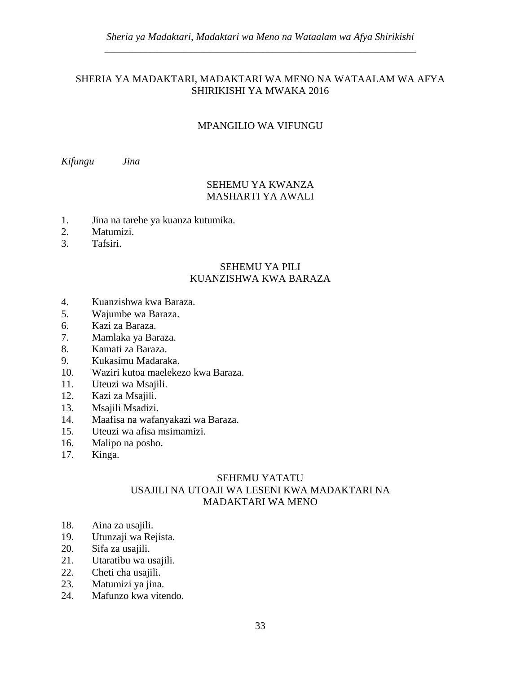# SHERIA YA MADAKTARI, MADAKTARI WA MENO NA WATAALAM WA AFYA SHIRIKISHI YA MWAKA 2016

# MPANGILIO WA VIFUNGU

*Kifungu Jina* 

# SEHEMU YA KWANZA MASHARTI YA AWALI

- 1. Jina na tarehe ya kuanza kutumika.
- 2. Matumizi.
- 3. Tafsiri.

# SEHEMU YA PILI KUANZISHWA KWA BARAZA

- 4. Kuanzishwa kwa Baraza.
- 5. Wajumbe wa Baraza.
- 6. Kazi za Baraza.
- 7. Mamlaka ya Baraza.
- 8. Kamati za Baraza.
- 9. Kukasimu Madaraka.
- 10. Waziri kutoa maelekezo kwa Baraza.
- 11. Uteuzi wa Msajili.
- 12. Kazi za Msajili.
- 13. Msajili Msadizi.
- 14. Maafisa na wafanyakazi wa Baraza.
- 15. Uteuzi wa afisa msimamizi.
- 16. Malipo na posho.
- 17. Kinga.

# SEHEMU YATATU USAJILI NA UTOAJI WA LESENI KWA MADAKTARI NA MADAKTARI WA MENO

- 18. Aina za usajili.
- 19. Utunzaji wa Rejista.
- 20. Sifa za usajili.
- 21. Utaratibu wa usajili.
- 22. Cheti cha usajili.
- 23. Matumizi ya jina.
- 24. Mafunzo kwa vitendo.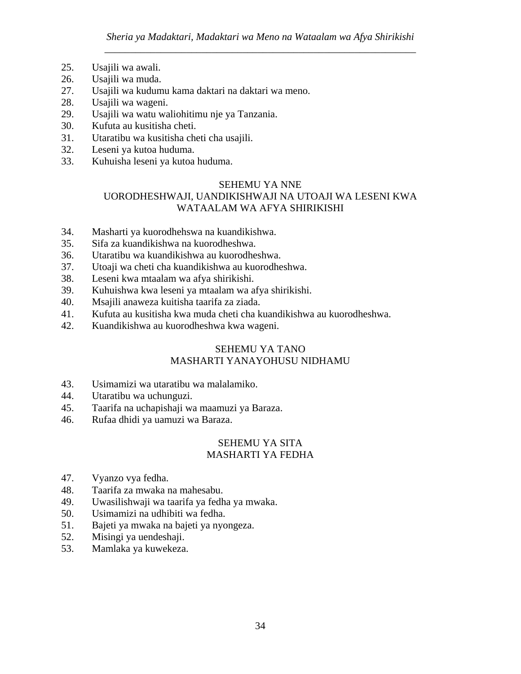- 25. Usajili wa awali.
- 26. Usajili wa muda.
- 27. Usajili wa kudumu kama daktari na daktari wa meno.
- 28. Usajili wa wageni.
- 29. Usajili wa watu waliohitimu nje ya Tanzania.
- 30. Kufuta au kusitisha cheti.
- 31. Utaratibu wa kusitisha cheti cha usajili.
- 32. Leseni ya kutoa huduma.
- 33. Kuhuisha leseni ya kutoa huduma.

### SEHEMU YA NNE UORODHESHWAJI, UANDIKISHWAJI NA UTOAJI WA LESENI KWA WATAALAM WA AFYA SHIRIKISHI

- 34. Masharti ya kuorodhehswa na kuandikishwa.
- 35. Sifa za kuandikishwa na kuorodheshwa.
- 36. Utaratibu wa kuandikishwa au kuorodheshwa.
- 37. Utoaji wa cheti cha kuandikishwa au kuorodheshwa.
- 38. Leseni kwa mtaalam wa afya shirikishi.
- 39. Kuhuishwa kwa leseni ya mtaalam wa afya shirikishi.
- 40. Msajili anaweza kuitisha taarifa za ziada.
- 41. Kufuta au kusitisha kwa muda cheti cha kuandikishwa au kuorodheshwa.
- 42. Kuandikishwa au kuorodheshwa kwa wageni.

# SEHEMU YA TANO MASHARTI YANAYOHUSU NIDHAMU

- 43. Usimamizi wa utaratibu wa malalamiko.
- 44. Utaratibu wa uchunguzi.
- 45. Taarifa na uchapishaji wa maamuzi ya Baraza.
- 46. Rufaa dhidi ya uamuzi wa Baraza.

# SEHEMU YA SITA MASHARTI YA FEDHA

- 47. Vyanzo vya fedha.
- 48. Taarifa za mwaka na mahesabu.
- 49. Uwasilishwaji wa taarifa ya fedha ya mwaka.
- 50. Usimamizi na udhibiti wa fedha.
- 51. Bajeti ya mwaka na bajeti ya nyongeza.
- 52. Misingi ya uendeshaji.
- 53. Mamlaka ya kuwekeza.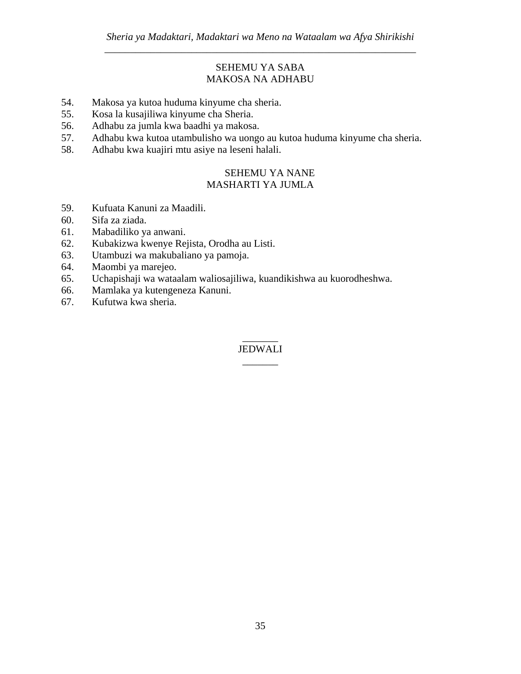# SEHEMU YA SABA MAKOSA NA ADHABU

- 54. Makosa ya kutoa huduma kinyume cha sheria.
- 55. Kosa la kusajiliwa kinyume cha Sheria.
- 56. Adhabu za jumla kwa baadhi ya makosa.
- 57. Adhabu kwa kutoa utambulisho wa uongo au kutoa huduma kinyume cha sheria.
- 58. Adhabu kwa kuajiri mtu asiye na leseni halali.

# SEHEMU YA NANE MASHARTI YA JUMLA

- 59. Kufuata Kanuni za Maadili.
- 60. Sifa za ziada.
- 61. Mabadiliko ya anwani.
- 62. Kubakizwa kwenye Rejista, Orodha au Listi.
- 63. Utambuzi wa makubaliano ya pamoja.
- 64. Maombi ya marejeo.
- 65. Uchapishaji wa wataalam waliosajiliwa, kuandikishwa au kuorodheshwa.
- 66. Mamlaka ya kutengeneza Kanuni.
- 67. Kufutwa kwa sheria.

# $\overline{\phantom{a}}$ JEDWALI \_\_\_\_\_\_\_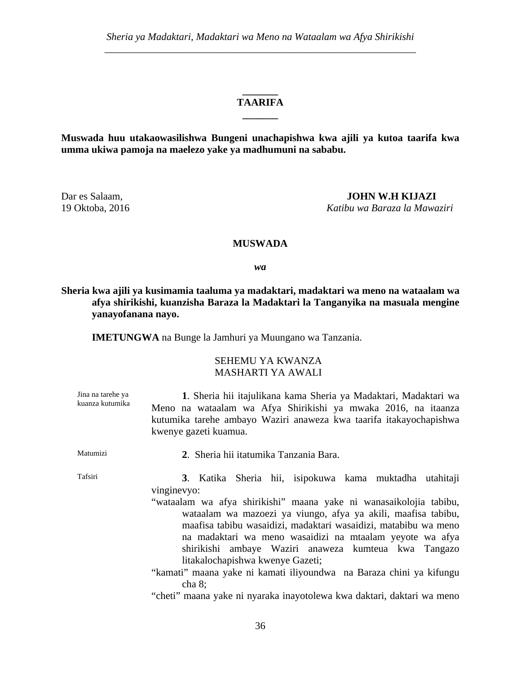# **\_\_\_\_\_\_\_ TAARIFA \_\_\_\_\_\_\_**

**Muswada huu utakaowasilishwa Bungeni unachapishwa kwa ajili ya kutoa taarifa kwa umma ukiwa pamoja na maelezo yake ya madhumuni na sababu.** 

Dar es Salaam, **JOHN W.H KIJAZI**

19 Oktoba, 2016 *Katibu wa Baraza la Mawaziri*

### **MUSWADA**

*wa* 

**Sheria kwa ajili ya kusimamia taaluma ya madaktari, madaktari wa meno na wataalam wa afya shirikishi, kuanzisha Baraza la Madaktari la Tanganyika na masuala mengine yanayofanana nayo.**

**IMETUNGWA** na Bunge la Jamhuri ya Muungano wa Tanzania.

# SEHEMU YA KWANZA MASHARTI YA AWALI

| Jina na tarehe ya<br>kuanza kutumika | 1. Sheria hii itajulikana kama Sheria ya Madaktari, Madaktari wa<br>Meno na wataalam wa Afya Shirikishi ya mwaka 2016, na itaanza<br>kutumika tarehe ambayo Waziri anaweza kwa taarifa itakayochapishwa<br>kwenye gazeti kuamua.                                                                                                                                                                                                                                                                                                                                                                    |
|--------------------------------------|-----------------------------------------------------------------------------------------------------------------------------------------------------------------------------------------------------------------------------------------------------------------------------------------------------------------------------------------------------------------------------------------------------------------------------------------------------------------------------------------------------------------------------------------------------------------------------------------------------|
| Matumizi                             | 2. Sheria hii itatumika Tanzania Bara.                                                                                                                                                                                                                                                                                                                                                                                                                                                                                                                                                              |
| Tafsiri                              | 3. Katika Sheria hii, isipokuwa kama muktadha utahitaji<br>vinginevyo:<br>"wataalam wa afya shirikishi" maana yake ni wanasaikolojia tabibu,<br>wataalam wa mazoezi ya viungo, afya ya akili, maafisa tabibu,<br>maafisa tabibu wasaidizi, madaktari wasaidizi, matabibu wa meno<br>na madaktari wa meno wasaidizi na mtaalam yeyote wa afya<br>shirikishi ambaye Waziri anaweza kumteua kwa Tangazo<br>litakalochapishwa kwenye Gazeti;<br>"kamati" maana yake ni kamati iliyoundwa na Baraza chini ya kifungu<br>cha 8;<br>"cheti" maana yake ni nyaraka inayotolewa kwa daktari, daktari wa meno |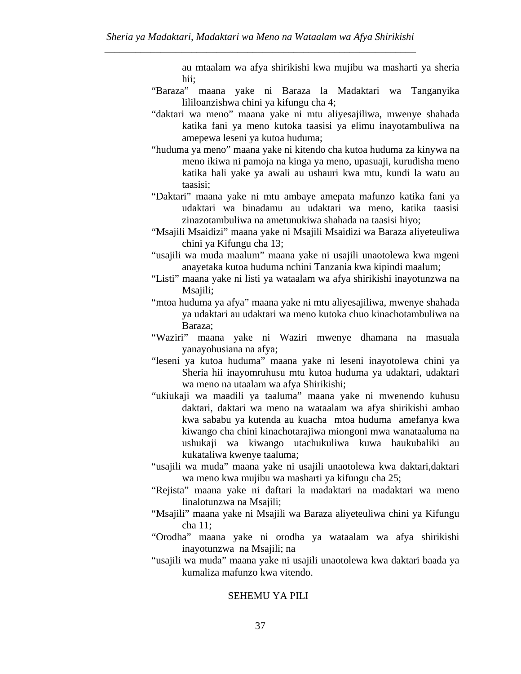au mtaalam wa afya shirikishi kwa mujibu wa masharti ya sheria hii;

- "Baraza" maana yake ni Baraza la Madaktari wa Tanganyika lililoanzishwa chini ya kifungu cha 4;
- "daktari wa meno" maana yake ni mtu aliyesajiliwa, mwenye shahada katika fani ya meno kutoka taasisi ya elimu inayotambuliwa na amepewa leseni ya kutoa huduma;
- "huduma ya meno" maana yake ni kitendo cha kutoa huduma za kinywa na meno ikiwa ni pamoja na kinga ya meno, upasuaji, kurudisha meno katika hali yake ya awali au ushauri kwa mtu, kundi la watu au taasisi;
- "Daktari" maana yake ni mtu ambaye amepata mafunzo katika fani ya udaktari wa binadamu au udaktari wa meno, katika taasisi zinazotambuliwa na ametunukiwa shahada na taasisi hiyo;
- "Msajili Msaidizi" maana yake ni Msajili Msaidizi wa Baraza aliyeteuliwa chini ya Kifungu cha 13;
- "usajili wa muda maalum" maana yake ni usajili unaotolewa kwa mgeni anayetaka kutoa huduma nchini Tanzania kwa kipindi maalum;
- "Listi" maana yake ni listi ya wataalam wa afya shirikishi inayotunzwa na Msajili;
- "mtoa huduma ya afya" maana yake ni mtu aliyesajiliwa, mwenye shahada ya udaktari au udaktari wa meno kutoka chuo kinachotambuliwa na Baraza;
- "Waziri" maana yake ni Waziri mwenye dhamana na masuala yanayohusiana na afya;
- "leseni ya kutoa huduma" maana yake ni leseni inayotolewa chini ya Sheria hii inayomruhusu mtu kutoa huduma ya udaktari, udaktari wa meno na utaalam wa afya Shirikishi;
- "ukiukaji wa maadili ya taaluma" maana yake ni mwenendo kuhusu daktari, daktari wa meno na wataalam wa afya shirikishi ambao kwa sababu ya kutenda au kuacha mtoa huduma amefanya kwa kiwango cha chini kinachotarajiwa miongoni mwa wanataaluma na ushukaji wa kiwango utachukuliwa kuwa haukubaliki au kukataliwa kwenye taaluma;
- "usajili wa muda" maana yake ni usajili unaotolewa kwa daktari,daktari wa meno kwa mujibu wa masharti ya kifungu cha 25;
- "Rejista" maana yake ni daftari la madaktari na madaktari wa meno linalotunzwa na Msajili;
- "Msajili" maana yake ni Msajili wa Baraza aliyeteuliwa chini ya Kifungu cha 11;
- "Orodha" maana yake ni orodha ya wataalam wa afya shirikishi inayotunzwa na Msajili; na
- "usajili wa muda" maana yake ni usajili unaotolewa kwa daktari baada ya kumaliza mafunzo kwa vitendo.

#### SEHEMU YA PILI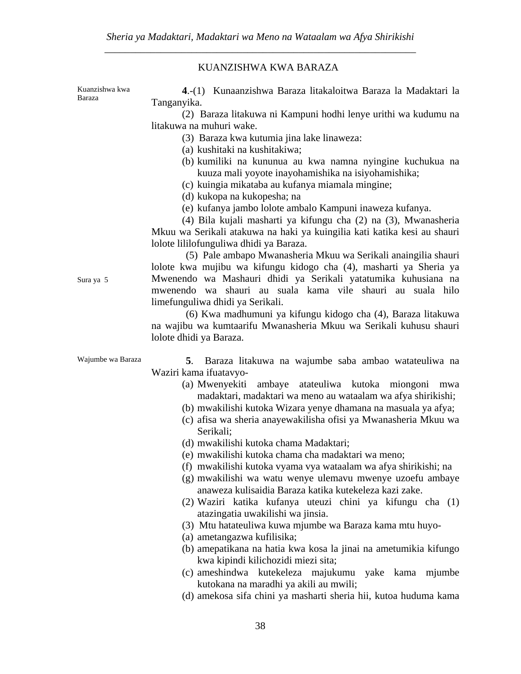#### KUANZISHWA KWA BARAZA

Kuanzishwa kwa Baraza

**4**.-(1) Kunaanzishwa Baraza litakaloitwa Baraza la Madaktari la Tanganyika.

 (2) Baraza litakuwa ni Kampuni hodhi lenye urithi wa kudumu na litakuwa na muhuri wake.

- (3) Baraza kwa kutumia jina lake linaweza:
- (a) kushitaki na kushitakiwa;
- (b) kumiliki na kununua au kwa namna nyingine kuchukua na kuuza mali yoyote inayohamishika na isiyohamishika;
- (c) kuingia mikataba au kufanya miamala mingine;
- (d) kukopa na kukopesha; na
- (e) kufanya jambo lolote ambalo Kampuni inaweza kufanya.

 (4) Bila kujali masharti ya kifungu cha (2) na (3), Mwanasheria Mkuu wa Serikali atakuwa na haki ya kuingilia kati katika kesi au shauri lolote lililofunguliwa dhidi ya Baraza.

 (5) Pale ambapo Mwanasheria Mkuu wa Serikali anaingilia shauri lolote kwa mujibu wa kifungu kidogo cha (4), masharti ya Sheria ya Mwenendo wa Mashauri dhidi ya Serikali yatatumika kuhusiana na mwenendo wa shauri au suala kama vile shauri au suala hilo limefunguliwa dhidi ya Serikali.

 (6) Kwa madhumuni ya kifungu kidogo cha (4), Baraza litakuwa na wajibu wa kumtaarifu Mwanasheria Mkuu wa Serikali kuhusu shauri lolote dhidi ya Baraza.

Sura ya 5

Wajumbe wa Baraza **5**. Baraza litakuwa na wajumbe saba ambao watateuliwa na Waziri kama ifuatavyo-

- (a) Mwenyekiti ambaye atateuliwa kutoka miongoni mwa madaktari, madaktari wa meno au wataalam wa afya shirikishi;
- (b) mwakilishi kutoka Wizara yenye dhamana na masuala ya afya;
- (c) afisa wa sheria anayewakilisha ofisi ya Mwanasheria Mkuu wa Serikali;
- (d) mwakilishi kutoka chama Madaktari;
- (e) mwakilishi kutoka chama cha madaktari wa meno;
- (f) mwakilishi kutoka vyama vya wataalam wa afya shirikishi; na
- (g) mwakilishi wa watu wenye ulemavu mwenye uzoefu ambaye anaweza kulisaidia Baraza katika kutekeleza kazi zake.
- (2) Waziri katika kufanya uteuzi chini ya kifungu cha (1) atazingatia uwakilishi wa jinsia.
- (3) Mtu hatateuliwa kuwa mjumbe wa Baraza kama mtu huyo-
- (a) ametangazwa kufilisika;
- (b) amepatikana na hatia kwa kosa la jinai na ametumikia kifungo kwa kipindi kilichozidi miezi sita;
- (c) ameshindwa kutekeleza majukumu yake kama mjumbe kutokana na maradhi ya akili au mwili;
- (d) amekosa sifa chini ya masharti sheria hii, kutoa huduma kama

38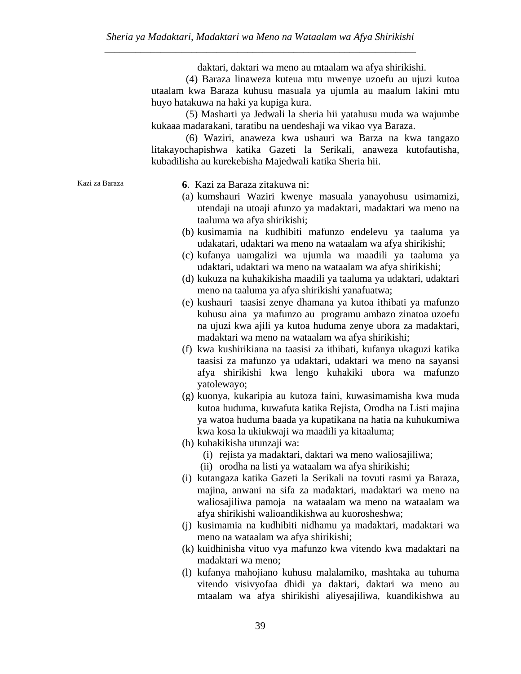daktari, daktari wa meno au mtaalam wa afya shirikishi.

 (4) Baraza linaweza kuteua mtu mwenye uzoefu au ujuzi kutoa utaalam kwa Baraza kuhusu masuala ya ujumla au maalum lakini mtu huyo hatakuwa na haki ya kupiga kura.

 (5) Masharti ya Jedwali la sheria hii yatahusu muda wa wajumbe kukaaa madarakani, taratibu na uendeshaji wa vikao vya Baraza.

 (6) Waziri, anaweza kwa ushauri wa Barza na kwa tangazo litakayochapishwa katika Gazeti la Serikali, anaweza kutofautisha, kubadilisha au kurekebisha Majedwali katika Sheria hii.

Kazi za Baraza **6**. Kazi za Baraza zitakuwa ni:

- (a) kumshauri Waziri kwenye masuala yanayohusu usimamizi, utendaji na utoaji afunzo ya madaktari, madaktari wa meno na taaluma wa afya shirikishi;
- (b) kusimamia na kudhibiti mafunzo endelevu ya taaluma ya udakatari, udaktari wa meno na wataalam wa afya shirikishi;
- (c) kufanya uamgalizi wa ujumla wa maadili ya taaluma ya udaktari, udaktari wa meno na wataalam wa afya shirikishi;
- (d) kukuza na kuhakikisha maadili ya taaluma ya udaktari, udaktari meno na taaluma ya afya shirikishi yanafuatwa;
- (e) kushauri taasisi zenye dhamana ya kutoa ithibati ya mafunzo kuhusu aina ya mafunzo au programu ambazo zinatoa uzoefu na ujuzi kwa ajili ya kutoa huduma zenye ubora za madaktari, madaktari wa meno na wataalam wa afya shirikishi;
- (f) kwa kushirikiana na taasisi za ithibati, kufanya ukaguzi katika taasisi za mafunzo ya udaktari, udaktari wa meno na sayansi afya shirikishi kwa lengo kuhakiki ubora wa mafunzo yatolewayo;
- (g) kuonya, kukaripia au kutoza faini, kuwasimamisha kwa muda kutoa huduma, kuwafuta katika Rejista, Orodha na Listi majina ya watoa huduma baada ya kupatikana na hatia na kuhukumiwa kwa kosa la ukiukwaji wa maadili ya kitaaluma;
- (h) kuhakikisha utunzaji wa:
	- (i) rejista ya madaktari, daktari wa meno waliosajiliwa;
	- (ii) orodha na listi ya wataalam wa afya shirikishi;
- (i) kutangaza katika Gazeti la Serikali na tovuti rasmi ya Baraza, majina, anwani na sifa za madaktari, madaktari wa meno na waliosajiliwa pamoja na wataalam wa meno na wataalam wa afya shirikishi walioandikishwa au kuorosheshwa;
- (j) kusimamia na kudhibiti nidhamu ya madaktari, madaktari wa meno na wataalam wa afya shirikishi;
- (k) kuidhinisha vituo vya mafunzo kwa vitendo kwa madaktari na madaktari wa meno;
- (l) kufanya mahojiano kuhusu malalamiko, mashtaka au tuhuma vitendo visivyofaa dhidi ya daktari, daktari wa meno au mtaalam wa afya shirikishi aliyesajiliwa, kuandikishwa au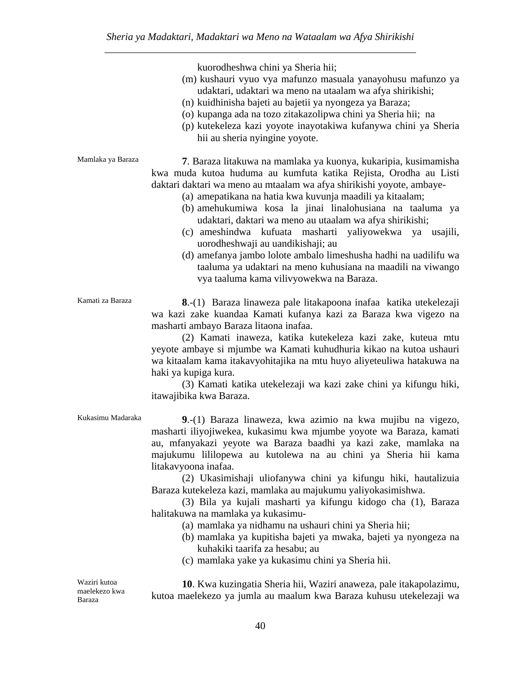\_\_\_\_\_\_\_\_\_\_\_\_\_\_\_\_\_\_\_\_\_\_\_\_\_\_\_\_\_\_\_\_\_\_\_\_\_\_\_\_\_\_\_\_\_\_\_\_\_\_\_\_\_\_\_\_\_\_\_\_\_ kuorodheshwa chini ya Sheria hii; (m) kushauri vyuo vya mafunzo masuala yanayohusu mafunzo ya udaktari, udaktari wa meno na utaalam wa afya shirikishi; (n) kuidhinisha bajeti au bajetii ya nyongeza ya Baraza; (o) kupanga ada na tozo zitakazolipwa chini ya Sheria hii; na (p) kutekeleza kazi yoyote inayotakiwa kufanywa chini ya Sheria hii au sheria nyingine yoyote. Mamlaka ya Baraza **7**. Baraza litakuwa na mamlaka ya kuonya, kukaripia, kusimamisha kwa muda kutoa huduma au kumfuta katika Rejista, Orodha au Listi daktari daktari wa meno au mtaalam wa afya shirikishi yoyote, ambaye- (a) amepatikana na hatia kwa kuvunja maadili ya kitaalam; (b) amehukumiwa kosa la jinai linalohusiana na taaluma ya udaktari, daktari wa meno au utaalam wa afya shirikishi; (c) ameshindwa kufuata masharti yaliyowekwa ya usajili, uorodheshwaji au uandikishaji; au (d) amefanya jambo lolote ambalo limeshusha hadhi na uadilifu wa taaluma ya udaktari na meno kuhusiana na maadili na viwango vya taaluma kama vilivyowekwa na Baraza. Kamati za Baraza **8**.-(1) Baraza linaweza pale litakapoona inafaa katika utekelezaji wa kazi zake kuandaa Kamati kufanya kazi za Baraza kwa vigezo na masharti ambayo Baraza litaona inafaa. (2) Kamati inaweza, katika kutekeleza kazi zake, kuteua mtu yeyote ambaye si mjumbe wa Kamati kuhudhuria kikao na kutoa ushauri wa kitaalam kama itakavyohitajika na mtu huyo aliyeteuliwa hatakuwa na haki ya kupiga kura. (3) Kamati katika utekelezaji wa kazi zake chini ya kifungu hiki, itawajibika kwa Baraza. Kukasimu Madaraka **9**.-(1) Baraza linaweza, kwa azimio na kwa mujibu na vigezo, masharti iliyojiwekea, kukasimu kwa mjumbe yoyote wa Baraza, kamati au, mfanyakazi yeyote wa Baraza baadhi ya kazi zake, mamlaka na majukumu lililopewa au kutolewa na au chini ya Sheria hii kama litakavyoona inafaa. (2) Ukasimishaji uliofanywa chini ya kifungu hiki, hautalizuia Baraza kutekeleza kazi, mamlaka au majukumu yaliyokasimishwa. (3) Bila ya kujali masharti ya kifungu kidogo cha (1), Baraza halitakuwa na mamlaka ya kukasimu- (a) mamlaka ya nidhamu na ushauri chini ya Sheria hii; (b) mamlaka ya kupitisha bajeti ya mwaka, bajeti ya nyongeza na kuhakiki taarifa za hesabu; au (c) mamlaka yake ya kukasimu chini ya Sheria hii. Waziri kutoa maelekezo kwa Baraza  **10**. Kwa kuzingatia Sheria hii, Waziri anaweza, pale itakapolazimu, kutoa maelekezo ya jumla au maalum kwa Baraza kuhusu utekelezaji wa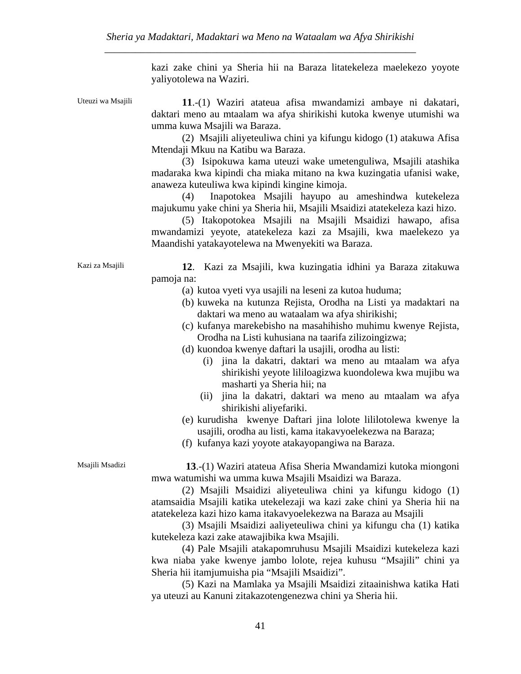kazi zake chini ya Sheria hii na Baraza litatekeleza maelekezo yoyote yaliyotolewa na Waziri.

Uteuzi wa Msajili **11**.-(1) Waziri atateua afisa mwandamizi ambaye ni dakatari, daktari meno au mtaalam wa afya shirikishi kutoka kwenye utumishi wa umma kuwa Msajili wa Baraza.

> (2) Msajili aliyeteuliwa chini ya kifungu kidogo (1) atakuwa Afisa Mtendaji Mkuu na Katibu wa Baraza.

> (3) Isipokuwa kama uteuzi wake umetenguliwa, Msajili atashika madaraka kwa kipindi cha miaka mitano na kwa kuzingatia ufanisi wake, anaweza kuteuliwa kwa kipindi kingine kimoja.

> (4) Inapotokea Msajili hayupo au ameshindwa kutekeleza majukumu yake chini ya Sheria hii, Msajili Msaidizi atatekeleza kazi hizo.

> (5) Itakopotokea Msajili na Msajili Msaidizi hawapo, afisa mwandamizi yeyote, atatekeleza kazi za Msajili, kwa maelekezo ya Maandishi yatakayotelewa na Mwenyekiti wa Baraza.

Kazi za Msajili **12**. Kazi za Msajili, kwa kuzingatia idhini ya Baraza zitakuwa pamoja na:

- (a) kutoa vyeti vya usajili na leseni za kutoa huduma;
- (b) kuweka na kutunza Rejista, Orodha na Listi ya madaktari na daktari wa meno au wataalam wa afya shirikishi;
- (c) kufanya marekebisho na masahihisho muhimu kwenye Rejista, Orodha na Listi kuhusiana na taarifa zilizoingizwa;
- (d) kuondoa kwenye daftari la usajili, orodha au listi:
	- (i) jina la dakatri, daktari wa meno au mtaalam wa afya shirikishi yeyote lililoagizwa kuondolewa kwa mujibu wa masharti ya Sheria hii; na
	- (ii) jina la dakatri, daktari wa meno au mtaalam wa afya shirikishi aliyefariki.
- (e) kurudisha kwenye Daftari jina lolote lililotolewa kwenye la usajili, orodha au listi, kama itakavyoelekezwa na Baraza;
- (f) kufanya kazi yoyote atakayopangiwa na Baraza.

Msajili Msadizi **13**.-(1) Waziri atateua Afisa Sheria Mwandamizi kutoka miongoni mwa watumishi wa umma kuwa Msajili Msaidizi wa Baraza.

> (2) Msajili Msaidizi aliyeteuliwa chini ya kifungu kidogo (1) atamsaidia Msajili katika utekelezaji wa kazi zake chini ya Sheria hii na atatekeleza kazi hizo kama itakavyoelekezwa na Baraza au Msajili

> (3) Msajili Msaidizi aaliyeteuliwa chini ya kifungu cha (1) katika kutekeleza kazi zake atawajibika kwa Msajili.

> (4) Pale Msajili atakapomruhusu Msajili Msaidizi kutekeleza kazi kwa niaba yake kwenye jambo lolote, rejea kuhusu "Msajili" chini ya Sheria hii itamjumuisha pia "Msajili Msaidizi".

> (5) Kazi na Mamlaka ya Msajili Msaidizi zitaainishwa katika Hati ya uteuzi au Kanuni zitakazotengenezwa chini ya Sheria hii.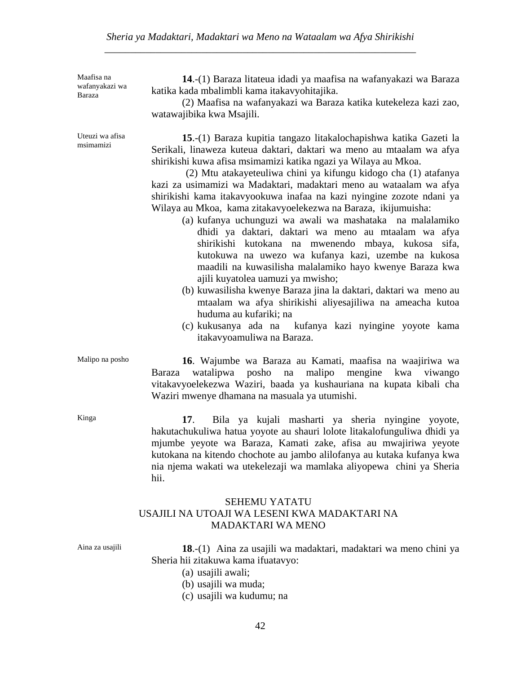### *Sheria ya Madaktari, Madaktari wa Meno na Wataalam wa Afya Shirikishi* \_\_\_\_\_\_\_\_\_\_\_\_\_\_\_\_\_\_\_\_\_\_\_\_\_\_\_\_\_\_\_\_\_\_\_\_\_\_\_\_\_\_\_\_\_\_\_\_\_\_\_\_\_\_\_\_\_\_\_\_\_

Maafisa na wafanyakazi wa Baraza

Uteuzi wa afisa msimamizi

**14**.-(1) Baraza litateua idadi ya maafisa na wafanyakazi wa Baraza katika kada mbalimbli kama itakavyohitajika.

 (2) Maafisa na wafanyakazi wa Baraza katika kutekeleza kazi zao, watawajibika kwa Msajili.

**15**.-(1) Baraza kupitia tangazo litakalochapishwa katika Gazeti la Serikali, linaweza kuteua daktari, daktari wa meno au mtaalam wa afya shirikishi kuwa afisa msimamizi katika ngazi ya Wilaya au Mkoa.

 (2) Mtu atakayeteuliwa chini ya kifungu kidogo cha (1) atafanya kazi za usimamizi wa Madaktari, madaktari meno au wataalam wa afya shirikishi kama itakavyookuwa inafaa na kazi nyingine zozote ndani ya Wilaya au Mkoa, kama zitakavyoelekezwa na Baraza, ikijumuisha:

- (a) kufanya uchunguzi wa awali wa mashataka na malalamiko dhidi ya daktari, daktari wa meno au mtaalam wa afya shirikishi kutokana na mwenendo mbaya, kukosa sifa, kutokuwa na uwezo wa kufanya kazi, uzembe na kukosa maadili na kuwasilisha malalamiko hayo kwenye Baraza kwa ajili kuyatolea uamuzi ya mwisho;
- (b) kuwasilisha kwenye Baraza jina la daktari, daktari wa meno au mtaalam wa afya shirikishi aliyesajiliwa na ameacha kutoa huduma au kufariki; na
- (c) kukusanya ada na kufanya kazi nyingine yoyote kama itakavyoamuliwa na Baraza.

Malipo na posho **16**. Wajumbe wa Baraza au Kamati, maafisa na waajiriwa wa Baraza watalipwa posho na malipo mengine kwa viwango vitakavyoelekezwa Waziri, baada ya kushauriana na kupata kibali cha Waziri mwenye dhamana na masuala ya utumishi.

Kinga **17**. Bila ya kujali masharti ya sheria nyingine yoyote, hakutachukuliwa hatua yoyote au shauri lolote litakalofunguliwa dhidi ya mjumbe yeyote wa Baraza, Kamati zake, afisa au mwajiriwa yeyote kutokana na kitendo chochote au jambo alilofanya au kutaka kufanya kwa nia njema wakati wa utekelezaji wa mamlaka aliyopewa chini ya Sheria hii.

# SEHEMU YATATU USAJILI NA UTOAJI WA LESENI KWA MADAKTARI NA MADAKTARI WA MENO

Aina za usajili **18**.-(1) Aina za usajili wa madaktari, madaktari wa meno chini ya Sheria hii zitakuwa kama ifuatavyo:

(a) usajili awali;

- (b) usajili wa muda;
- (c) usajili wa kudumu; na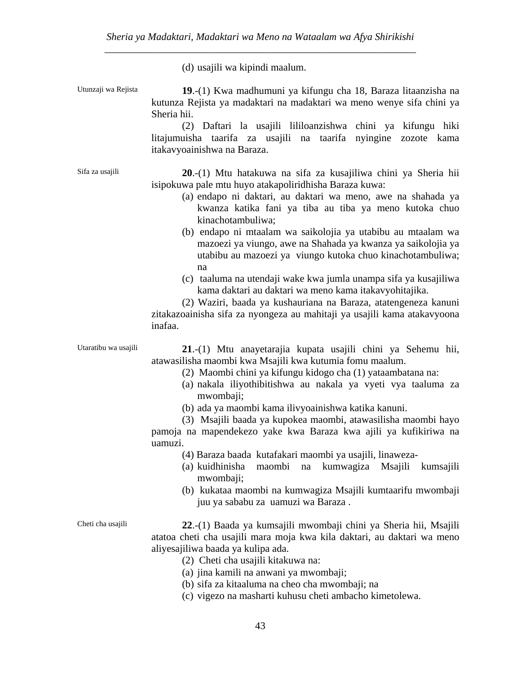(d) usajili wa kipindi maalum.

Utunzaji wa Rejista **19**.-(1) Kwa madhumuni ya kifungu cha 18, Baraza litaanzisha na kutunza Rejista ya madaktari na madaktari wa meno wenye sifa chini ya Sheria hii. (2) Daftari la usajili lililoanzishwa chini ya kifungu hiki litajumuisha taarifa za usajili na taarifa nyingine zozote kama itakavyoainishwa na Baraza. Sifa za usajili **20**.-(1) Mtu hatakuwa na sifa za kusajiliwa chini ya Sheria hii isipokuwa pale mtu huyo atakapoliridhisha Baraza kuwa: (a) endapo ni daktari, au daktari wa meno, awe na shahada ya kwanza katika fani ya tiba au tiba ya meno kutoka chuo kinachotambuliwa; (b) endapo ni mtaalam wa saikolojia ya utabibu au mtaalam wa mazoezi ya viungo, awe na Shahada ya kwanza ya saikolojia ya utabibu au mazoezi ya viungo kutoka chuo kinachotambuliwa; na (c) taaluma na utendaji wake kwa jumla unampa sifa ya kusajiliwa kama daktari au daktari wa meno kama itakavyohitajika. (2) Waziri, baada ya kushauriana na Baraza, atatengeneza kanuni zitakazoainisha sifa za nyongeza au mahitaji ya usajili kama atakavyoona inafaa. Utaratibu wa usajili **21**.-(1) Mtu anayetarajia kupata usajili chini ya Sehemu hii, atawasilisha maombi kwa Msajili kwa kutumia fomu maalum. (2) Maombi chini ya kifungu kidogo cha (1) yataambatana na: (a) nakala iliyothibitishwa au nakala ya vyeti vya taaluma za mwombaji; (b) ada ya maombi kama ilivyoainishwa katika kanuni. (3) Msajili baada ya kupokea maombi, atawasilisha maombi hayo pamoja na mapendekezo yake kwa Baraza kwa ajili ya kufikiriwa na uamuzi. (4) Baraza baada kutafakari maombi ya usajili, linaweza- (a) kuidhinisha maombi na kumwagiza Msajili kumsajili mwombaji; (b) kukataa maombi na kumwagiza Msajili kumtaarifu mwombaji juu ya sababu za uamuzi wa Baraza . Cheti cha usajili **22**.-(1) Baada ya kumsajili mwombaji chini ya Sheria hii, Msajili atatoa cheti cha usajili mara moja kwa kila daktari, au daktari wa meno aliyesajiliwa baada ya kulipa ada. (2) Cheti cha usajili kitakuwa na: (a) jina kamili na anwani ya mwombaji; (b) sifa za kitaaluma na cheo cha mwombaji; na

(c) vigezo na masharti kuhusu cheti ambacho kimetolewa.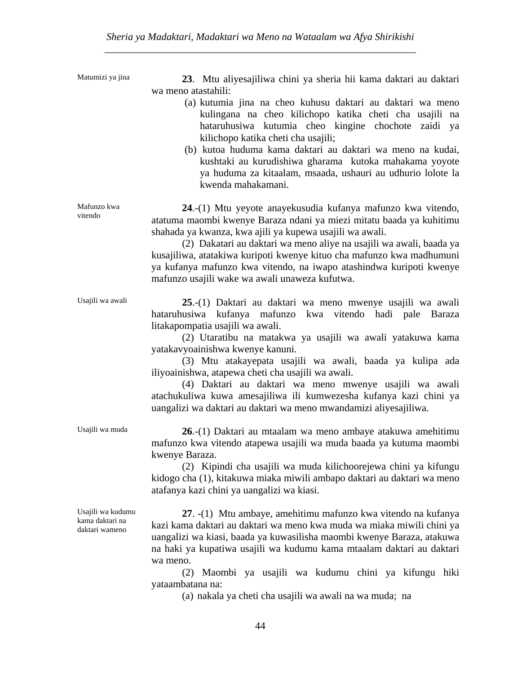Matumizi ya jina **23**. Mtu aliyesajiliwa chini ya sheria hii kama daktari au daktari wa meno atastahili:

- (a) kutumia jina na cheo kuhusu daktari au daktari wa meno kulingana na cheo kilichopo katika cheti cha usajili na hataruhusiwa kutumia cheo kingine chochote zaidi ya kilichopo katika cheti cha usajili;
- (b) kutoa huduma kama daktari au daktari wa meno na kudai, kushtaki au kurudishiwa gharama kutoka mahakama yoyote ya huduma za kitaalam, msaada, ushauri au udhurio lolote la kwenda mahakamani.

**24**.-(1) Mtu yeyote anayekusudia kufanya mafunzo kwa vitendo, atatuma maombi kwenye Baraza ndani ya miezi mitatu baada ya kuhitimu shahada ya kwanza, kwa ajili ya kupewa usajili wa awali.

 (2) Dakatari au daktari wa meno aliye na usajili wa awali, baada ya kusajiliwa, atatakiwa kuripoti kwenye kituo cha mafunzo kwa madhumuni ya kufanya mafunzo kwa vitendo, na iwapo atashindwa kuripoti kwenye mafunzo usajili wake wa awali unaweza kufutwa.

hataruhusiwa kufanya mafunzo kwa vitendo hadi pale Baraza

(2) Utaratibu na matakwa ya usajili wa awali yatakuwa kama

(3) Mtu atakayepata usajili wa awali, baada ya kulipa ada

(4) Daktari au daktari wa meno mwenye usajili wa awali

litakapompatia usajili wa awali.

yatakavyoainishwa kwenye kanuni.

iliyoainishwa, atapewa cheti cha usajili wa awali.

Usajili wa awali **25**.-(1) Daktari au daktari wa meno mwenye usajili wa awali

Mafunzo kwa vitendo

Usajili wa muda **26**.-(1) Daktari au mtaalam wa meno ambaye atakuwa amehitimu mafunzo kwa vitendo atapewa usajili wa muda baada ya kutuma maombi kwenye Baraza.

atachukuliwa kuwa amesajiliwa ili kumwezesha kufanya kazi chini ya

uangalizi wa daktari au daktari wa meno mwandamizi aliyesajiliwa.

 (2) Kipindi cha usajili wa muda kilichoorejewa chini ya kifungu kidogo cha (1), kitakuwa miaka miwili ambapo daktari au daktari wa meno atafanya kazi chini ya uangalizi wa kiasi.

Usajili wa kudumu kama daktari na daktari wameno

**27**. -(1) Mtu ambaye, amehitimu mafunzo kwa vitendo na kufanya kazi kama daktari au daktari wa meno kwa muda wa miaka miwili chini ya uangalizi wa kiasi, baada ya kuwasilisha maombi kwenye Baraza, atakuwa na haki ya kupatiwa usajili wa kudumu kama mtaalam daktari au daktari wa meno.

 (2) Maombi ya usajili wa kudumu chini ya kifungu hiki yataambatana na:

(a) nakala ya cheti cha usajili wa awali na wa muda; na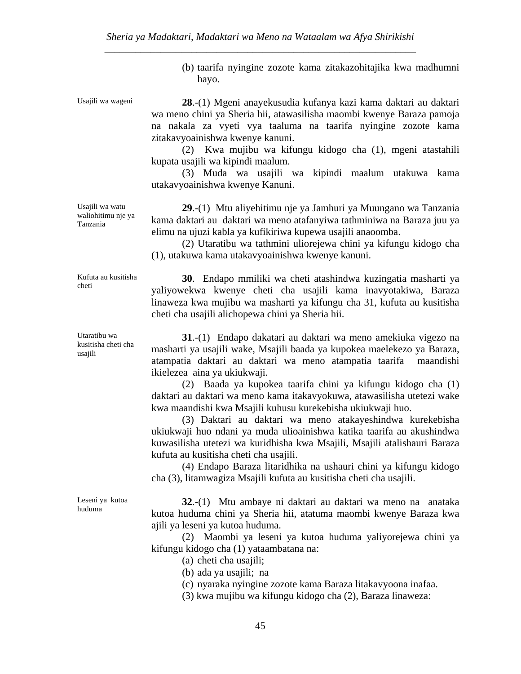(b) taarifa nyingine zozote kama zitakazohitajika kwa madhumni hayo.

Usajili wa wageni **28**.-(1) Mgeni anayekusudia kufanya kazi kama daktari au daktari wa meno chini ya Sheria hii, atawasilisha maombi kwenye Baraza pamoja na nakala za vyeti vya taaluma na taarifa nyingine zozote kama zitakavyoainishwa kwenye kanuni.

> (2) Kwa mujibu wa kifungu kidogo cha (1), mgeni atastahili kupata usajili wa kipindi maalum.

> (3) Muda wa usajili wa kipindi maalum utakuwa kama utakavyoainishwa kwenye Kanuni.

> **29**.-(1) Mtu aliyehitimu nje ya Jamhuri ya Muungano wa Tanzania kama daktari au daktari wa meno atafanyiwa tathminiwa na Baraza juu ya elimu na ujuzi kabla ya kufikiriwa kupewa usajili anaoomba.

> (2) Utaratibu wa tathmini uliorejewa chini ya kifungu kidogo cha (1), utakuwa kama utakavyoainishwa kwenye kanuni.

> **30**. Endapo mmiliki wa cheti atashindwa kuzingatia masharti ya yaliyowekwa kwenye cheti cha usajili kama inavyotakiwa, Baraza linaweza kwa mujibu wa masharti ya kifungu cha 31, kufuta au kusitisha cheti cha usajili alichopewa chini ya Sheria hii.

> **31**.-(1) Endapo dakatari au daktari wa meno amekiuka vigezo na masharti ya usajili wake, Msajili baada ya kupokea maelekezo ya Baraza, atampatia daktari au daktari wa meno atampatia taarifa maandishi ikielezea aina ya ukiukwaji.

> (2) Baada ya kupokea taarifa chini ya kifungu kidogo cha (1) daktari au daktari wa meno kama itakavyokuwa, atawasilisha utetezi wake kwa maandishi kwa Msajili kuhusu kurekebisha ukiukwaji huo.

> (3) Daktari au daktari wa meno atakayeshindwa kurekebisha ukiukwaji huo ndani ya muda ulioainishwa katika taarifa au akushindwa kuwasilisha utetezi wa kuridhisha kwa Msajili, Msajili atalishauri Baraza kufuta au kusitisha cheti cha usajili.

> (4) Endapo Baraza litaridhika na ushauri chini ya kifungu kidogo cha (3), litamwagiza Msajili kufuta au kusitisha cheti cha usajili.

Leseni ya kutoa huduma

**32**.-(1) Mtu ambaye ni daktari au daktari wa meno na anataka kutoa huduma chini ya Sheria hii, atatuma maombi kwenye Baraza kwa ajili ya leseni ya kutoa huduma.

 (2) Maombi ya leseni ya kutoa huduma yaliyorejewa chini ya kifungu kidogo cha (1) yataambatana na:

(a) cheti cha usajili;

(b) ada ya usajili; na

(c) nyaraka nyingine zozote kama Baraza litakavyoona inafaa.

(3) kwa mujibu wa kifungu kidogo cha (2), Baraza linaweza:

Usajili wa watu waliohitimu nje ya Tanzania

Kufuta au kusitisha cheti

Utaratibu wa kusitisha cheti cha usajili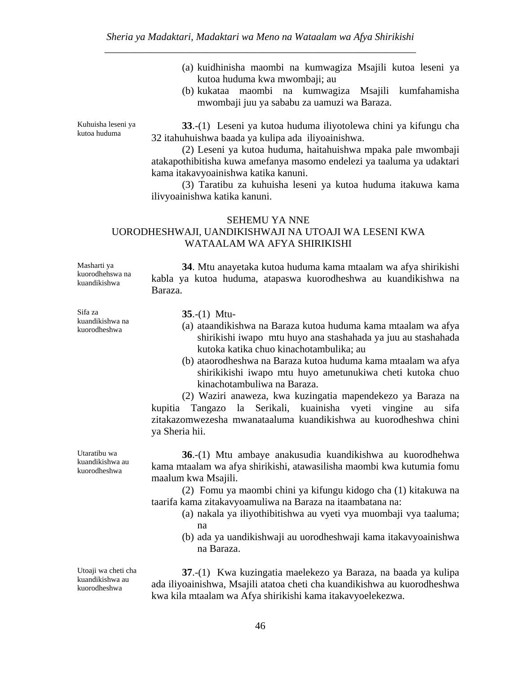- (a) kuidhinisha maombi na kumwagiza Msajili kutoa leseni ya kutoa huduma kwa mwombaji; au
- (b) kukataa maombi na kumwagiza Msajili kumfahamisha mwombaji juu ya sababu za uamuzi wa Baraza.

Kuhuisha leseni ya kutoa huduma

**33**.-(1) Leseni ya kutoa huduma iliyotolewa chini ya kifungu cha 32 itahuhuishwa baada ya kulipa ada iliyoainishwa.

 (2) Leseni ya kutoa huduma, haitahuishwa mpaka pale mwombaji atakapothibitisha kuwa amefanya masomo endelezi ya taaluma ya udaktari kama itakavyoainishwa katika kanuni.

 (3) Taratibu za kuhuisha leseni ya kutoa huduma itakuwa kama ilivyoainishwa katika kanuni.

#### SEHEMU YA NNE

# UORODHESHWAJI, UANDIKISHWAJI NA UTOAJI WA LESENI KWA WATAALAM WA AFYA SHIRIKISHI

Masharti ya kuorodhehswa na kuandikishwa

Sifa za kuandikishwa na kuorodheshwa

**35**.-(1) Mtu-

Baraza.

(a) ataandikishwa na Baraza kutoa huduma kama mtaalam wa afya shirikishi iwapo mtu huyo ana stashahada ya juu au stashahada kutoka katika chuo kinachotambulika; au

**34**. Mtu anayetaka kutoa huduma kama mtaalam wa afya shirikishi

kabla ya kutoa huduma, atapaswa kuorodheshwa au kuandikishwa na

(b) ataorodheshwa na Baraza kutoa huduma kama mtaalam wa afya shirikikishi iwapo mtu huyo ametunukiwa cheti kutoka chuo kinachotambuliwa na Baraza.

 (2) Waziri anaweza, kwa kuzingatia mapendekezo ya Baraza na kupitia Tangazo la Serikali, kuainisha vyeti vingine au sifa zitakazomwezesha mwanataaluma kuandikishwa au kuorodheshwa chini ya Sheria hii.

Utaratibu wa kuandikishwa au kuorodheshwa

**36**.-(1) Mtu ambaye anakusudia kuandikishwa au kuorodhehwa kama mtaalam wa afya shirikishi, atawasilisha maombi kwa kutumia fomu maalum kwa Msajili.

 (2) Fomu ya maombi chini ya kifungu kidogo cha (1) kitakuwa na taarifa kama zitakavyoamuliwa na Baraza na itaambatana na:

- (a) nakala ya iliyothibitishwa au vyeti vya muombaji vya taaluma; na
- (b) ada ya uandikishwaji au uorodheshwaji kama itakavyoainishwa na Baraza.

**37**.-(1) Kwa kuzingatia maelekezo ya Baraza, na baada ya kulipa ada iliyoainishwa, Msajili atatoa cheti cha kuandikishwa au kuorodheshwa kwa kila mtaalam wa Afya shirikishi kama itakavyoelekezwa.

Utoaji wa cheti cha kuandikishwa au kuorodheshwa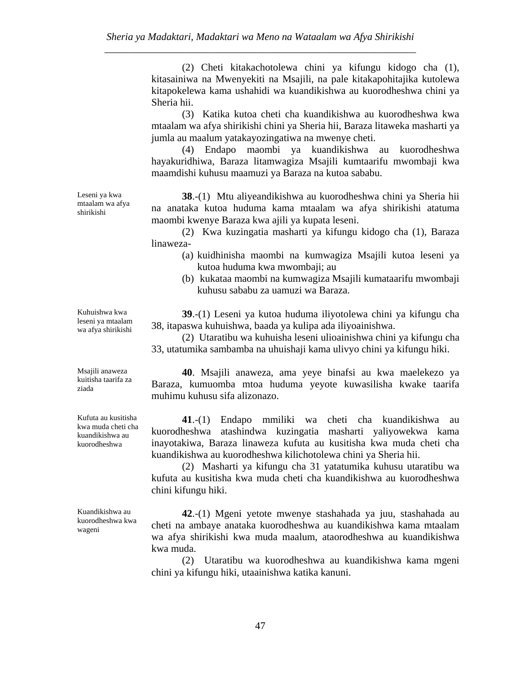(2) Cheti kitakachotolewa chini ya kifungu kidogo cha (1), kitasainiwa na Mwenyekiti na Msajili, na pale kitakapohitajika kutolewa kitapokelewa kama ushahidi wa kuandikishwa au kuorodheshwa chini ya Sheria hii.

 (3) Katika kutoa cheti cha kuandikishwa au kuorodheshwa kwa mtaalam wa afya shirikishi chini ya Sheria hii, Baraza litaweka masharti ya jumla au maalum yatakayozingatiwa na mwenye cheti.

 (4) Endapo maombi ya kuandikishwa au kuorodheshwa hayakuridhiwa, Baraza litamwagiza Msajili kumtaarifu mwombaji kwa maamdishi kuhusu maamuzi ya Baraza na kutoa sababu.

**38**.-(1) Mtu aliyeandikishwa au kuorodheshwa chini ya Sheria hii na anataka kutoa huduma kama mtaalam wa afya shirikishi atatuma maombi kwenye Baraza kwa ajili ya kupata leseni.

 (2) Kwa kuzingatia masharti ya kifungu kidogo cha (1), Baraza linaweza-

- (a) kuidhinisha maombi na kumwagiza Msajili kutoa leseni ya kutoa huduma kwa mwombaji; au
- (b) kukataa maombi na kumwagiza Msajili kumataarifu mwombaji kuhusu sababu za uamuzi wa Baraza.

**39**.-(1) Leseni ya kutoa huduma iliyotolewa chini ya kifungu cha 38, itapaswa kuhuishwa, baada ya kulipa ada iliyoainishwa.

 (2) Utaratibu wa kuhuisha leseni ulioainishwa chini ya kifungu cha 33, utatumika sambamba na uhuishaji kama ulivyo chini ya kifungu hiki.

**40**. Msajili anaweza, ama yeye binafsi au kwa maelekezo ya Baraza, kumuomba mtoa huduma yeyote kuwasilisha kwake taarifa muhimu kuhusu sifa alizonazo.

**41**.-(1) Endapo mmiliki wa cheti cha kuandikishwa au kuorodheshwa atashindwa kuzingatia masharti yaliyowekwa kama inayotakiwa, Baraza linaweza kufuta au kusitisha kwa muda cheti cha kuandikishwa au kuorodheshwa kilichotolewa chini ya Sheria hii.

 (2) Masharti ya kifungu cha 31 yatatumika kuhusu utaratibu wa kufuta au kusitisha kwa muda cheti cha kuandikishwa au kuorodheshwa chini kifungu hiki.

**42**.-(1) Mgeni yetote mwenye stashahada ya juu, stashahada au cheti na ambaye anataka kuorodheshwa au kuandikishwa kama mtaalam wa afya shirikishi kwa muda maalum, ataorodheshwa au kuandikishwa kwa muda.

 (2) Utaratibu wa kuorodheshwa au kuandikishwa kama mgeni chini ya kifungu hiki, utaainishwa katika kanuni.

Kuhuishwa kwa leseni ya mtaalam wa afya shirikishi

Leseni ya kwa mtaalam wa afya shirikishi

Msajili anaweza kuitisha taarifa za ziada

Kufuta au kusitisha kwa muda cheti cha kuandikishwa au kuorodheshwa

Kuandikishwa au kuorodheshwa kwa wageni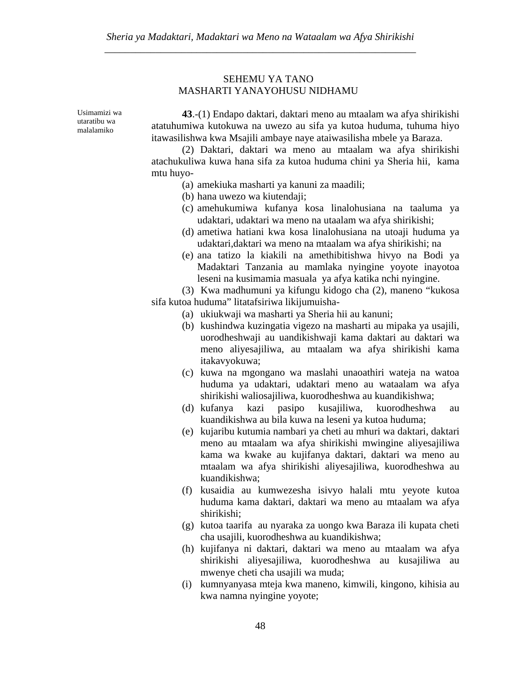# SEHEMU YA TANO MASHARTI YANAYOHUSU NIDHAMU

Usimamizi wa utaratibu wa malalamiko

**43**.-(1) Endapo daktari, daktari meno au mtaalam wa afya shirikishi atatuhumiwa kutokuwa na uwezo au sifa ya kutoa huduma, tuhuma hiyo itawasilishwa kwa Msajili ambaye naye ataiwasilisha mbele ya Baraza.

 (2) Daktari, daktari wa meno au mtaalam wa afya shirikishi atachukuliwa kuwa hana sifa za kutoa huduma chini ya Sheria hii, kama mtu huyo-

- (a) amekiuka masharti ya kanuni za maadili;
- (b) hana uwezo wa kiutendaji;
- (c) amehukumiwa kufanya kosa linalohusiana na taaluma ya udaktari, udaktari wa meno na utaalam wa afya shirikishi;
- (d) ametiwa hatiani kwa kosa linalohusiana na utoaji huduma ya udaktari,daktari wa meno na mtaalam wa afya shirikishi; na
- (e) ana tatizo la kiakili na amethibitishwa hivyo na Bodi ya Madaktari Tanzania au mamlaka nyingine yoyote inayotoa leseni na kusimamia masuala ya afya katika nchi nyingine.

 (3) Kwa madhumuni ya kifungu kidogo cha (2), maneno "kukosa sifa kutoa huduma" litatafsiriwa likijumuisha-

- (a) ukiukwaji wa masharti ya Sheria hii au kanuni;
- (b) kushindwa kuzingatia vigezo na masharti au mipaka ya usajili, uorodheshwaji au uandikishwaji kama daktari au daktari wa meno aliyesajiliwa, au mtaalam wa afya shirikishi kama itakavyokuwa;
- (c) kuwa na mgongano wa maslahi unaoathiri wateja na watoa huduma ya udaktari, udaktari meno au wataalam wa afya shirikishi waliosajiliwa, kuorodheshwa au kuandikishwa;
- (d) kufanya kazi pasipo kusajiliwa, kuorodheshwa au kuandikishwa au bila kuwa na leseni ya kutoa huduma;
- (e) kujaribu kutumia nambari ya cheti au mhuri wa daktari, daktari meno au mtaalam wa afya shirikishi mwingine aliyesajiliwa kama wa kwake au kujifanya daktari, daktari wa meno au mtaalam wa afya shirikishi aliyesajiliwa, kuorodheshwa au kuandikishwa;
- (f) kusaidia au kumwezesha isivyo halali mtu yeyote kutoa huduma kama daktari, daktari wa meno au mtaalam wa afya shirikishi;
- (g) kutoa taarifa au nyaraka za uongo kwa Baraza ili kupata cheti cha usajili, kuorodheshwa au kuandikishwa;
- (h) kujifanya ni daktari, daktari wa meno au mtaalam wa afya shirikishi aliyesajiliwa, kuorodheshwa au kusajiliwa au mwenye cheti cha usajili wa muda;
- (i) kumnyanyasa mteja kwa maneno, kimwili, kingono, kihisia au kwa namna nyingine yoyote;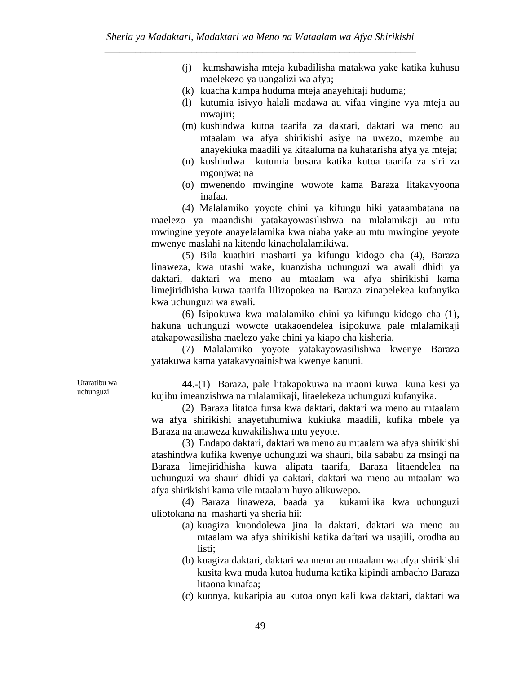- (j) kumshawisha mteja kubadilisha matakwa yake katika kuhusu maelekezo ya uangalizi wa afya;
- (k) kuacha kumpa huduma mteja anayehitaji huduma;
- (l) kutumia isivyo halali madawa au vifaa vingine vya mteja au mwajiri;
- (m) kushindwa kutoa taarifa za daktari, daktari wa meno au mtaalam wa afya shirikishi asiye na uwezo, mzembe au anayekiuka maadili ya kitaaluma na kuhatarisha afya ya mteja;
- (n) kushindwa kutumia busara katika kutoa taarifa za siri za mgonjwa; na
- (o) mwenendo mwingine wowote kama Baraza litakavyoona inafaa.

 (4) Malalamiko yoyote chini ya kifungu hiki yataambatana na maelezo ya maandishi yatakayowasilishwa na mlalamikaji au mtu mwingine yeyote anayelalamika kwa niaba yake au mtu mwingine yeyote mwenye maslahi na kitendo kinacholalamikiwa.

 (5) Bila kuathiri masharti ya kifungu kidogo cha (4), Baraza linaweza, kwa utashi wake, kuanzisha uchunguzi wa awali dhidi ya daktari, daktari wa meno au mtaalam wa afya shirikishi kama limejiridhisha kuwa taarifa lilizopokea na Baraza zinapelekea kufanyika kwa uchunguzi wa awali.

 (6) Isipokuwa kwa malalamiko chini ya kifungu kidogo cha (1), hakuna uchunguzi wowote utakaoendelea isipokuwa pale mlalamikaji atakapowasilisha maelezo yake chini ya kiapo cha kisheria.

 (7) Malalamiko yoyote yatakayowasilishwa kwenye Baraza yatakuwa kama yatakavyoainishwa kwenye kanuni.

Utaratibu wa uchunguzi

**44**.-(1) Baraza, pale litakapokuwa na maoni kuwa kuna kesi ya kujibu imeanzishwa na mlalamikaji, litaelekeza uchunguzi kufanyika.

 (2) Baraza litatoa fursa kwa daktari, daktari wa meno au mtaalam wa afya shirikishi anayetuhumiwa kukiuka maadili, kufika mbele ya Baraza na anaweza kuwakilishwa mtu yeyote.

 (3) Endapo daktari, daktari wa meno au mtaalam wa afya shirikishi atashindwa kufika kwenye uchunguzi wa shauri, bila sababu za msingi na Baraza limejiridhisha kuwa alipata taarifa, Baraza litaendelea na uchunguzi wa shauri dhidi ya daktari, daktari wa meno au mtaalam wa afya shirikishi kama vile mtaalam huyo alikuwepo.

 (4) Baraza linaweza, baada ya kukamilika kwa uchunguzi uliotokana na masharti ya sheria hii:

- (a) kuagiza kuondolewa jina la daktari, daktari wa meno au mtaalam wa afya shirikishi katika daftari wa usajili, orodha au listi;
- (b) kuagiza daktari, daktari wa meno au mtaalam wa afya shirikishi kusita kwa muda kutoa huduma katika kipindi ambacho Baraza litaona kinafaa;
- (c) kuonya, kukaripia au kutoa onyo kali kwa daktari, daktari wa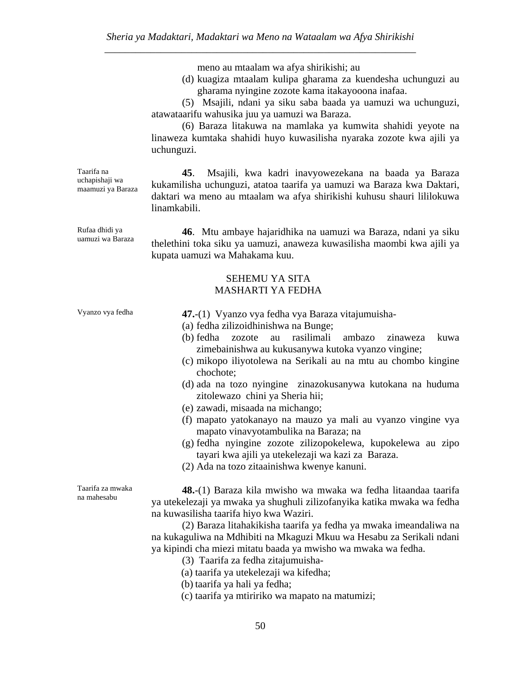meno au mtaalam wa afya shirikishi; au

(d) kuagiza mtaalam kulipa gharama za kuendesha uchunguzi au gharama nyingine zozote kama itakayooona inafaa.

 (5) Msajili, ndani ya siku saba baada ya uamuzi wa uchunguzi, atawataarifu wahusika juu ya uamuzi wa Baraza.

 (6) Baraza litakuwa na mamlaka ya kumwita shahidi yeyote na linaweza kumtaka shahidi huyo kuwasilisha nyaraka zozote kwa ajili ya uchunguzi.

Taarifa na uchapishaji wa maamuzi ya Baraza

**45**. Msajili, kwa kadri inavyowezekana na baada ya Baraza kukamilisha uchunguzi, atatoa taarifa ya uamuzi wa Baraza kwa Daktari, daktari wa meno au mtaalam wa afya shirikishi kuhusu shauri lililokuwa linamkabili.

Rufaa dhidi ya uamuzi wa Baraza

**46**. Mtu ambaye hajaridhika na uamuzi wa Baraza, ndani ya siku thelethini toka siku ya uamuzi, anaweza kuwasilisha maombi kwa ajili ya kupata uamuzi wa Mahakama kuu.

## SEHEMU YA SITA MASHARTI YA FEDHA

Vyanzo vya fedha **47.**-(1) Vyanzo vya fedha vya Baraza vitajumuisha-

- (a) fedha zilizoidhinishwa na Bunge;
- (b) fedha zozote au rasilimali ambazo zinaweza kuwa zimebainishwa au kukusanywa kutoka vyanzo vingine;
- (c) mikopo iliyotolewa na Serikali au na mtu au chombo kingine chochote;
- (d) ada na tozo nyingine zinazokusanywa kutokana na huduma zitolewazo chini ya Sheria hii;
- (e) zawadi, misaada na michango;
- (f) mapato yatokanayo na mauzo ya mali au vyanzo vingine vya mapato vinavyotambulika na Baraza; na
- (g) fedha nyingine zozote zilizopokelewa, kupokelewa au zipo tayari kwa ajili ya utekelezaji wa kazi za Baraza.
- (2) Ada na tozo zitaainishwa kwenye kanuni.

Taarifa za mwaka na mahesabu

**48.**-(1) Baraza kila mwisho wa mwaka wa fedha litaandaa taarifa ya utekelezaji ya mwaka ya shughuli zilizofanyika katika mwaka wa fedha na kuwasilisha taarifa hiyo kwa Waziri.

 (2) Baraza litahakikisha taarifa ya fedha ya mwaka imeandaliwa na na kukaguliwa na Mdhibiti na Mkaguzi Mkuu wa Hesabu za Serikali ndani ya kipindi cha miezi mitatu baada ya mwisho wa mwaka wa fedha.

- (3) Taarifa za fedha zitajumuisha-
- (a) taarifa ya utekelezaji wa kifedha;

(b) taarifa ya hali ya fedha;

(c) taarifa ya mtiririko wa mapato na matumizi;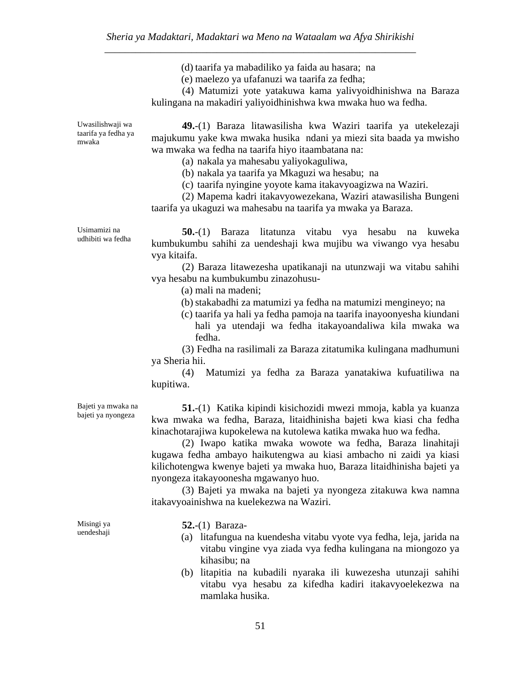(d) taarifa ya mabadiliko ya faida au hasara; na

(e) maelezo ya ufafanuzi wa taarifa za fedha;

 (4) Matumizi yote yatakuwa kama yalivyoidhinishwa na Baraza kulingana na makadiri yaliyoidhinishwa kwa mwaka huo wa fedha.

Uwasilishwaji wa taarifa ya fedha ya mwaka

**49.**-(1) Baraza litawasilisha kwa Waziri taarifa ya utekelezaji majukumu yake kwa mwaka husika ndani ya miezi sita baada ya mwisho wa mwaka wa fedha na taarifa hiyo itaambatana na:

(a) nakala ya mahesabu yaliyokaguliwa,

(b) nakala ya taarifa ya Mkaguzi wa hesabu; na

(c) taarifa nyingine yoyote kama itakavyoagizwa na Waziri.

 (2) Mapema kadri itakavyowezekana, Waziri atawasilisha Bungeni taarifa ya ukaguzi wa mahesabu na taarifa ya mwaka ya Baraza.

Usimamizi na udhibiti wa fedha

**50.**-(1) Baraza litatunza vitabu vya hesabu na kuweka kumbukumbu sahihi za uendeshaji kwa mujibu wa viwango vya hesabu vya kitaifa.

 (2) Baraza litawezesha upatikanaji na utunzwaji wa vitabu sahihi vya hesabu na kumbukumbu zinazohusu-

(a) mali na madeni;

(b)stakabadhi za matumizi ya fedha na matumizi mengineyo; na

(c) taarifa ya hali ya fedha pamoja na taarifa inayoonyesha kiundani hali ya utendaji wa fedha itakayoandaliwa kila mwaka wa fedha.

 (3) Fedha na rasilimali za Baraza zitatumika kulingana madhumuni ya Sheria hii.

 (4) Matumizi ya fedha za Baraza yanatakiwa kufuatiliwa na kupitiwa.

Bajeti ya mwaka na bajeti ya nyongeza

**51.**-(1) Katika kipindi kisichozidi mwezi mmoja, kabla ya kuanza kwa mwaka wa fedha, Baraza, litaidhinisha bajeti kwa kiasi cha fedha kinachotarajiwa kupokelewa na kutolewa katika mwaka huo wa fedha.

 (2) Iwapo katika mwaka wowote wa fedha, Baraza linahitaji kugawa fedha ambayo haikutengwa au kiasi ambacho ni zaidi ya kiasi kilichotengwa kwenye bajeti ya mwaka huo, Baraza litaidhinisha bajeti ya nyongeza itakayoonesha mgawanyo huo.

 (3) Bajeti ya mwaka na bajeti ya nyongeza zitakuwa kwa namna itakavyoainishwa na kuelekezwa na Waziri.

Misingi ya uendeshaji

**52.**-(1) Baraza-

- (a) litafungua na kuendesha vitabu vyote vya fedha, leja, jarida na vitabu vingine vya ziada vya fedha kulingana na miongozo ya kihasibu; na
- (b) litapitia na kubadili nyaraka ili kuwezesha utunzaji sahihi vitabu vya hesabu za kifedha kadiri itakavyoelekezwa na mamlaka husika.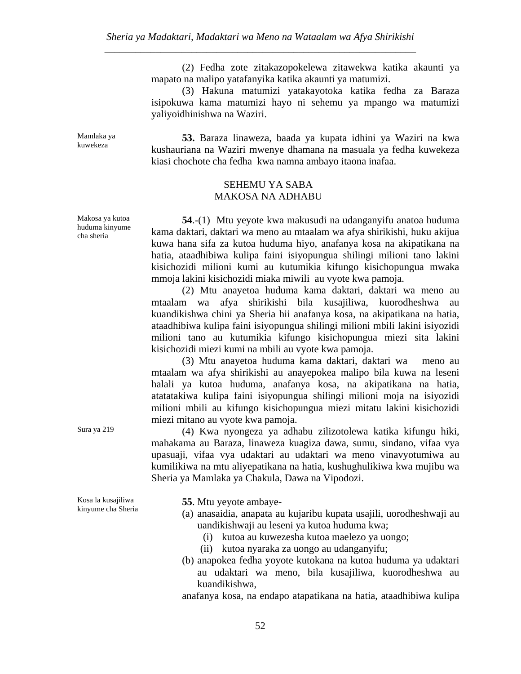(2) Fedha zote zitakazopokelewa zitawekwa katika akaunti ya mapato na malipo yatafanyika katika akaunti ya matumizi.

 (3) Hakuna matumizi yatakayotoka katika fedha za Baraza isipokuwa kama matumizi hayo ni sehemu ya mpango wa matumizi yaliyoidhinishwa na Waziri.

Mamlaka ya kuwekeza

**53.** Baraza linaweza, baada ya kupata idhini ya Waziri na kwa kushauriana na Waziri mwenye dhamana na masuala ya fedha kuwekeza kiasi chochote cha fedha kwa namna ambayo itaona inafaa.

## SEHEMU YA SABA MAKOSA NA ADHABU

 **54**.-(1) Mtu yeyote kwa makusudi na udanganyifu anatoa huduma kama daktari, daktari wa meno au mtaalam wa afya shirikishi, huku akijua kuwa hana sifa za kutoa huduma hiyo, anafanya kosa na akipatikana na hatia, ataadhibiwa kulipa faini isiyopungua shilingi milioni tano lakini kisichozidi milioni kumi au kutumikia kifungo kisichopungua mwaka mmoja lakini kisichozidi miaka miwili au vyote kwa pamoja.

 (2) Mtu anayetoa huduma kama daktari, daktari wa meno au mtaalam wa afya shirikishi bila kusajiliwa, kuorodheshwa au kuandikishwa chini ya Sheria hii anafanya kosa, na akipatikana na hatia, ataadhibiwa kulipa faini isiyopungua shilingi milioni mbili lakini isiyozidi milioni tano au kutumikia kifungo kisichopungua miezi sita lakini kisichozidi miezi kumi na mbili au vyote kwa pamoja.

 (3) Mtu anayetoa huduma kama daktari, daktari wa meno au mtaalam wa afya shirikishi au anayepokea malipo bila kuwa na leseni halali ya kutoa huduma, anafanya kosa, na akipatikana na hatia, atatatakiwa kulipa faini isiyopungua shilingi milioni moja na isiyozidi milioni mbili au kifungo kisichopungua miezi mitatu lakini kisichozidi miezi mitano au vyote kwa pamoja.

Sura ya 219 (4) Kwa nyongeza ya adhabu zilizotolewa katika kifungu hiki, mahakama au Baraza, linaweza kuagiza dawa, sumu, sindano, vifaa vya upasuaji, vifaa vya udaktari au udaktari wa meno vinavyotumiwa au kumilikiwa na mtu aliyepatikana na hatia, kushughulikiwa kwa mujibu wa Sheria ya Mamlaka ya Chakula, Dawa na Vipodozi.

Kosa la kusajiliwa kinyume cha Sheria **55**. Mtu yeyote ambaye-

- (a) anasaidia, anapata au kujaribu kupata usajili, uorodheshwaji au uandikishwaji au leseni ya kutoa huduma kwa;
	- (i) kutoa au kuwezesha kutoa maelezo ya uongo;
	- (ii) kutoa nyaraka za uongo au udanganyifu;
- (b) anapokea fedha yoyote kutokana na kutoa huduma ya udaktari au udaktari wa meno, bila kusajiliwa, kuorodheshwa au kuandikishwa,

anafanya kosa, na endapo atapatikana na hatia, ataadhibiwa kulipa

Makosa ya kutoa huduma kinyume cha sheria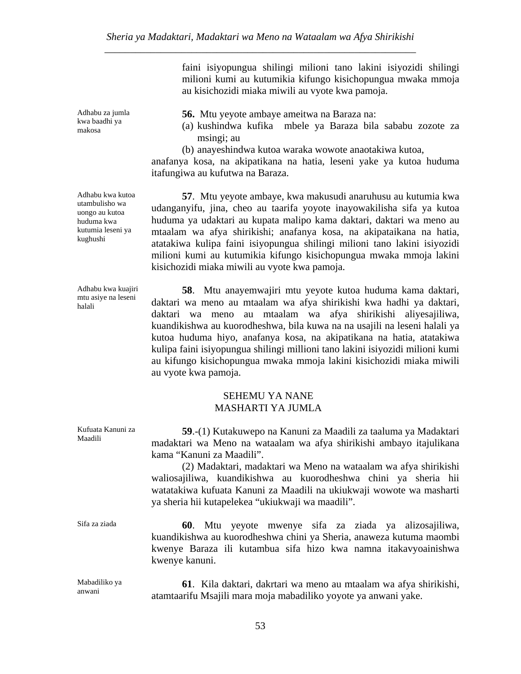faini isiyopungua shilingi milioni tano lakini isiyozidi shilingi milioni kumi au kutumikia kifungo kisichopungua mwaka mmoja au kisichozidi miaka miwili au vyote kwa pamoja.

 **56.** Mtu yeyote ambaye ameitwa na Baraza na:

- (a) kushindwa kufika mbele ya Baraza bila sababu zozote za msingi; au
- (b) anayeshindwa kutoa waraka wowote anaotakiwa kutoa,

anafanya kosa, na akipatikana na hatia, leseni yake ya kutoa huduma itafungiwa au kufutwa na Baraza.

 **57**. Mtu yeyote ambaye, kwa makusudi anaruhusu au kutumia kwa udanganyifu, jina, cheo au taarifa yoyote inayowakilisha sifa ya kutoa huduma ya udaktari au kupata malipo kama daktari, daktari wa meno au mtaalam wa afya shirikishi; anafanya kosa, na akipataikana na hatia, atatakiwa kulipa faini isiyopungua shilingi milioni tano lakini isiyozidi milioni kumi au kutumikia kifungo kisichopungua mwaka mmoja lakini kisichozidi miaka miwili au vyote kwa pamoja.

**58**. Mtu anayemwajiri mtu yeyote kutoa huduma kama daktari, daktari wa meno au mtaalam wa afya shirikishi kwa hadhi ya daktari, daktari wa meno au mtaalam wa afya shirikishi aliyesajiliwa, kuandikishwa au kuorodheshwa, bila kuwa na na usajili na leseni halali ya kutoa huduma hiyo, anafanya kosa, na akipatikana na hatia, atatakiwa kulipa faini isiyopungua shilingi millioni tano lakini isiyozidi milioni kumi au kifungo kisichopungua mwaka mmoja lakini kisichozidi miaka miwili au vyote kwa pamoja.

#### SEHEMU YA NANE MASHARTI YA JUMLA

| Kufuata Kanuni za<br>Maadili | 59.-(1) Kutakuwepo na Kanuni za Maadili za taaluma ya Madaktari<br>madaktari wa Meno na wataalam wa afya shirikishi ambayo itajulikana<br>kama "Kanuni za Maadili".<br>(2) Madaktari, madaktari wa Meno na wataalam wa afya shirikishi<br>waliosajiliwa, kuandikishwa au kuorodheshwa chini ya sheria hii<br>watatakiwa kufuata Kanuni za Maadili na ukiukwaji wowote wa masharti<br>ya sheria hii kutapelekea "ukiukwaji wa maadili". |
|------------------------------|----------------------------------------------------------------------------------------------------------------------------------------------------------------------------------------------------------------------------------------------------------------------------------------------------------------------------------------------------------------------------------------------------------------------------------------|
| Sifa za ziada                | Mtu yeyote mwenye sifa za ziada ya alizosajiliwa,<br>60.<br>kuandikishwa au kuorodheshwa chini ya Sheria, anaweza kutuma maombi<br>kwenye Baraza ili kutambua sifa hizo kwa namna itakavyoainishwa<br>kwenye kanuni.                                                                                                                                                                                                                   |
| Mabadiliko ya<br>anwani      | 61. Kila daktari, dakrtari wa meno au mtaalam wa afya shirikishi,<br>atamtaarifu Msajili mara moja mabadiliko yoyote ya anwani yake.                                                                                                                                                                                                                                                                                                   |

Adhabu za jumla kwa baadhi ya makosa

Adhabu kwa kutoa utambulisho wa uongo au kutoa huduma kwa kutumia leseni ya kughushi

Adhabu kwa kuajiri mtu asiye na leseni halali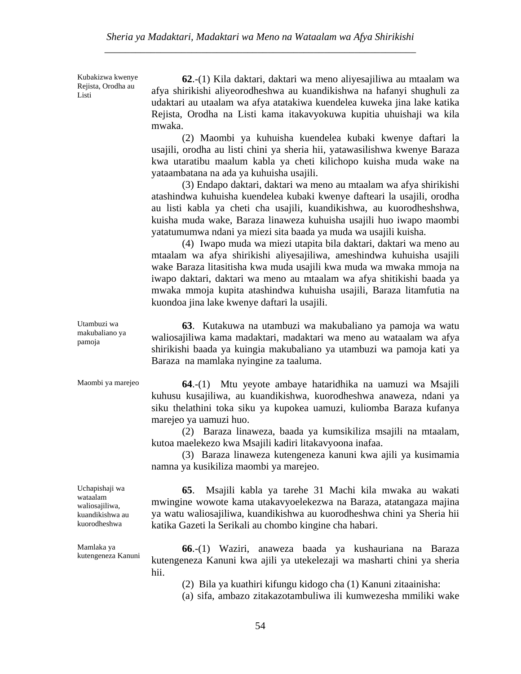Kubakizwa kwenye Rejista, Orodha au Listi

**62**.-(1) Kila daktari, daktari wa meno aliyesajiliwa au mtaalam wa afya shirikishi aliyeorodheshwa au kuandikishwa na hafanyi shughuli za udaktari au utaalam wa afya atatakiwa kuendelea kuweka jina lake katika Rejista, Orodha na Listi kama itakavyokuwa kupitia uhuishaji wa kila mwaka.

 (2) Maombi ya kuhuisha kuendelea kubaki kwenye daftari la usajili, orodha au listi chini ya sheria hii, yatawasilishwa kwenye Baraza kwa utaratibu maalum kabla ya cheti kilichopo kuisha muda wake na yataambatana na ada ya kuhuisha usajili.

 (3) Endapo daktari, daktari wa meno au mtaalam wa afya shirikishi atashindwa kuhuisha kuendelea kubaki kwenye dafteari la usajili, orodha au listi kabla ya cheti cha usajili, kuandikishwa, au kuorodheshshwa, kuisha muda wake, Baraza linaweza kuhuisha usajili huo iwapo maombi yatatumumwa ndani ya miezi sita baada ya muda wa usajili kuisha.

 (4) Iwapo muda wa miezi utapita bila daktari, daktari wa meno au mtaalam wa afya shirikishi aliyesajiliwa, ameshindwa kuhuisha usajili wake Baraza litasitisha kwa muda usajili kwa muda wa mwaka mmoja na iwapo daktari, daktari wa meno au mtaalam wa afya shitikishi baada ya mwaka mmoja kupita atashindwa kuhuisha usajili, Baraza litamfutia na kuondoa jina lake kwenye daftari la usajili.

**63**. Kutakuwa na utambuzi wa makubaliano ya pamoja wa watu waliosajiliwa kama madaktari, madaktari wa meno au wataalam wa afya shirikishi baada ya kuingia makubaliano ya utambuzi wa pamoja kati ya Baraza na mamlaka nyingine za taaluma.

Utambuzi wa makubaliano ya pamoja

Maombi ya marejeo **64**.-(1) Mtu yeyote ambaye hataridhika na uamuzi wa Msajili kuhusu kusajiliwa, au kuandikishwa, kuorodheshwa anaweza, ndani ya siku thelathini toka siku ya kupokea uamuzi, kuliomba Baraza kufanya marejeo ya uamuzi huo.

> (2) Baraza linaweza, baada ya kumsikiliza msajili na mtaalam, kutoa maelekezo kwa Msajili kadiri litakavyoona inafaa.

> (3) Baraza linaweza kutengeneza kanuni kwa ajili ya kusimamia namna ya kusikiliza maombi ya marejeo.

> **65**. Msajili kabla ya tarehe 31 Machi kila mwaka au wakati mwingine wowote kama utakavyoelekezwa na Baraza, atatangaza majina ya watu waliosajiliwa, kuandikishwa au kuorodheshwa chini ya Sheria hii katika Gazeti la Serikali au chombo kingine cha habari.

> **66**.-(1) Waziri, anaweza baada ya kushauriana na Baraza kutengeneza Kanuni kwa ajili ya utekelezaji wa masharti chini ya sheria hii.

(2) Bila ya kuathiri kifungu kidogo cha (1) Kanuni zitaainisha:

(a) sifa, ambazo zitakazotambuliwa ili kumwezesha mmiliki wake

Uchapishaji wa wataalam waliosajiliwa, kuandikishwa au kuorodheshwa

Mamlaka ya kutengeneza Kanuni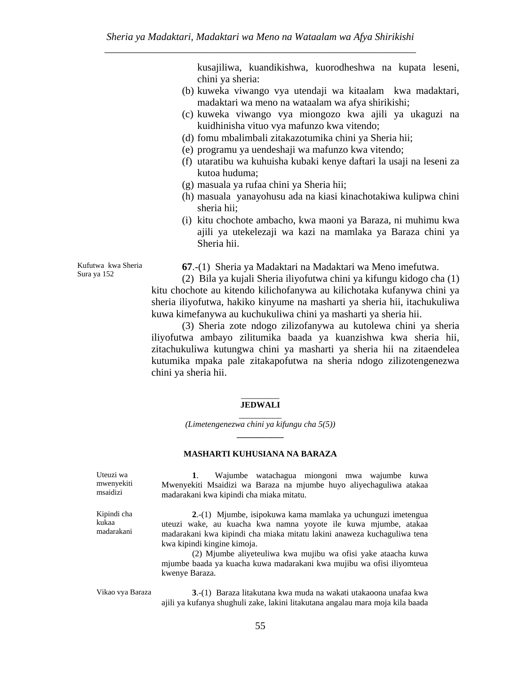kusajiliwa, kuandikishwa, kuorodheshwa na kupata leseni, chini ya sheria:

- (b) kuweka viwango vya utendaji wa kitaalam kwa madaktari, madaktari wa meno na wataalam wa afya shirikishi;
- (c) kuweka viwango vya miongozo kwa ajili ya ukaguzi na kuidhinisha vituo vya mafunzo kwa vitendo;
- (d) fomu mbalimbali zitakazotumika chini ya Sheria hii;
- (e) programu ya uendeshaji wa mafunzo kwa vitendo;
- (f) utaratibu wa kuhuisha kubaki kenye daftari la usaji na leseni za kutoa huduma;
- (g) masuala ya rufaa chini ya Sheria hii;
- (h) masuala yanayohusu ada na kiasi kinachotakiwa kulipwa chini sheria hii;
- (i) kitu chochote ambacho, kwa maoni ya Baraza, ni muhimu kwa ajili ya utekelezaji wa kazi na mamlaka ya Baraza chini ya Sheria hii.

Kufutwa kwa Sheria Sura ya 152

**67**.-(1) Sheria ya Madaktari na Madaktari wa Meno imefutwa.

 (2) Bila ya kujali Sheria iliyofutwa chini ya kifungu kidogo cha (1) kitu chochote au kitendo kilichofanywa au kilichotaka kufanywa chini ya sheria iliyofutwa, hakiko kinyume na masharti ya sheria hii, itachukuliwa kuwa kimefanywa au kuchukuliwa chini ya masharti ya sheria hii.

 (3) Sheria zote ndogo zilizofanywa au kutolewa chini ya sheria iliyofutwa ambayo zilitumika baada ya kuanzishwa kwa sheria hii, zitachukuliwa kutungwa chini ya masharti ya sheria hii na zitaendelea kutumika mpaka pale zitakapofutwa na sheria ndogo zilizotengenezwa chini ya sheria hii.

#### $\overline{\phantom{a}}$ **JEDWALI**  \_\_\_\_\_\_\_\_\_\_

*(Limetengenezwa chini ya kifungu cha 5(5))* **\_\_\_\_\_\_\_\_\_\_\_** 

#### **MASHARTI KUHUSIANA NA BARAZA**

Uteuzi wa mwenyekiti msaidizi

**1**. Wajumbe watachagua miongoni mwa wajumbe kuwa Mwenyekiti Msaidizi wa Baraza na mjumbe huyo aliyechaguliwa atakaa madarakani kwa kipindi cha miaka mitatu.

Kipindi cha kukaa madarakani

**2**.-(1) Mjumbe, isipokuwa kama mamlaka ya uchunguzi imetengua uteuzi wake, au kuacha kwa namna yoyote ile kuwa mjumbe, atakaa madarakani kwa kipindi cha miaka mitatu lakini anaweza kuchaguliwa tena kwa kipindi kingine kimoja.

 (2) Mjumbe aliyeteuliwa kwa mujibu wa ofisi yake ataacha kuwa mjumbe baada ya kuacha kuwa madarakani kwa mujibu wa ofisi iliyomteua kwenye Baraza.

Vikao vya Baraza **3**.-(1) Baraza litakutana kwa muda na wakati utakaoona unafaa kwa ajili ya kufanya shughuli zake, lakini litakutana angalau mara moja kila baada